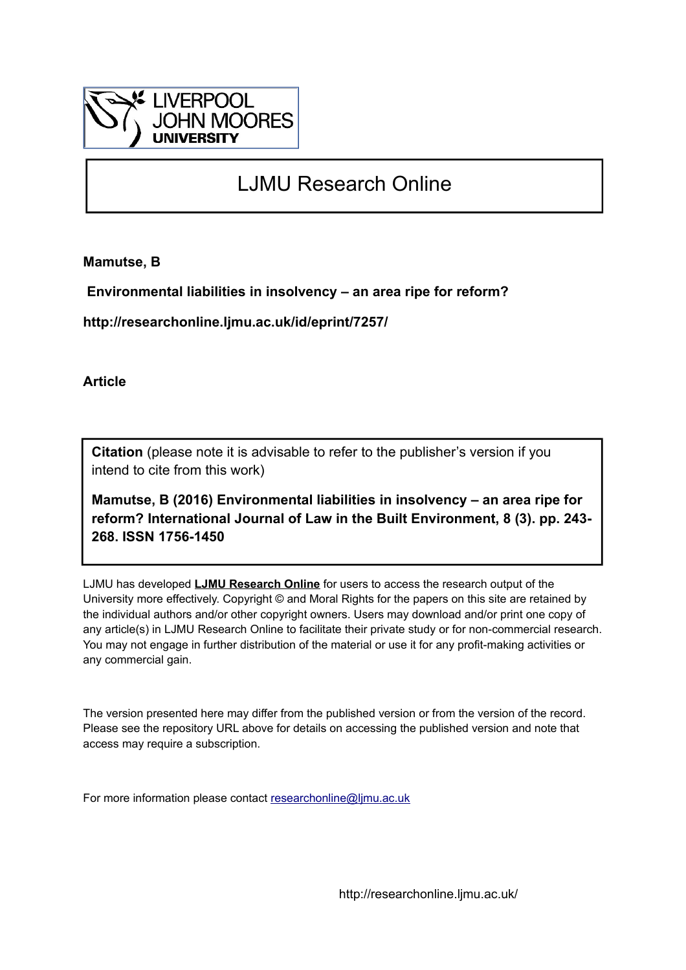

# LJMU Research Online

**Mamutse, B**

 **Environmental liabilities in insolvency – an area ripe for reform?**

**http://researchonline.ljmu.ac.uk/id/eprint/7257/**

**Article**

**Citation** (please note it is advisable to refer to the publisher's version if you intend to cite from this work)

**Mamutse, B (2016) Environmental liabilities in insolvency – an area ripe for reform? International Journal of Law in the Built Environment, 8 (3). pp. 243- 268. ISSN 1756-1450** 

LJMU has developed **[LJMU Research Online](http://researchonline.ljmu.ac.uk/)** for users to access the research output of the University more effectively. Copyright © and Moral Rights for the papers on this site are retained by the individual authors and/or other copyright owners. Users may download and/or print one copy of any article(s) in LJMU Research Online to facilitate their private study or for non-commercial research. You may not engage in further distribution of the material or use it for any profit-making activities or any commercial gain.

The version presented here may differ from the published version or from the version of the record. Please see the repository URL above for details on accessing the published version and note that access may require a subscription.

For more information please contact [researchonline@ljmu.ac.uk](mailto:researchonline@ljmu.ac.uk)

http://researchonline.ljmu.ac.uk/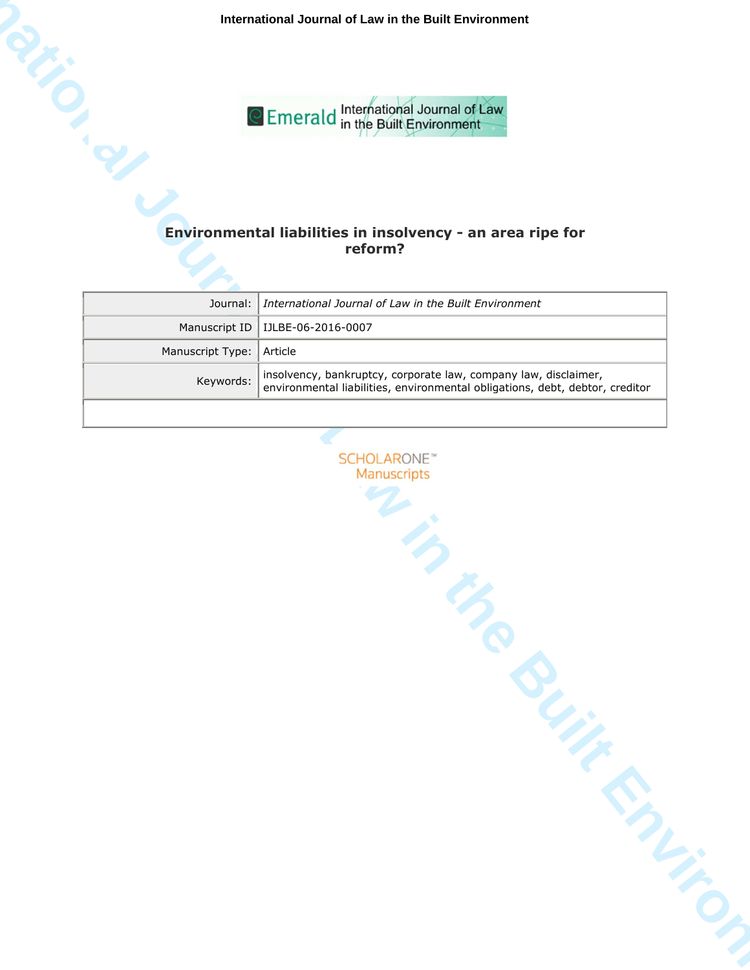**International Journal of Law in the Built Environment**



# **reform?**

|                          | Journal: I International Journal of Law in the Built Environment                                                                                |
|--------------------------|-------------------------------------------------------------------------------------------------------------------------------------------------|
|                          | Manuscript ID   IJLBE-06-2016-0007                                                                                                              |
| Manuscript Type: Article |                                                                                                                                                 |
| Keywords:                | insolvency, bankruptcy, corporate law, company law, disclaimer,<br>environmental liabilities, environmental obligations, debt, debtor, creditor |
|                          |                                                                                                                                                 |

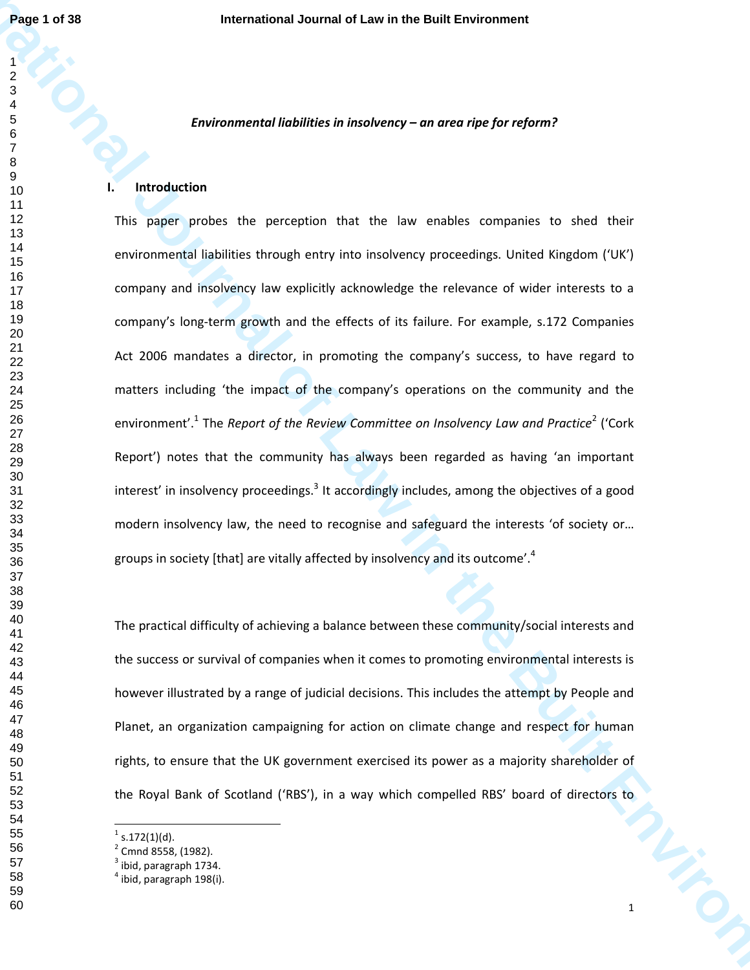## *Environmental liabilities in insolvency – an area ripe for reform?*

#### **I. Introduction**

**Page 1 of 38**<br> **International Journal distribution in the Built Environment<br>
<b>International Adventure Constraint** Construction of the Company<br> **International Adventure Constraint Construction of the Company of the Company** This paper probes the perception that the law enables companies to shed their environmental liabilities through entry into insolvency proceedings. United Kingdom ('UK') company and insolvency law explicitly acknowledge the relevance of wider interests to a company's long-term growth and the effects of its failure. For example, s.172 Companies Act 2006 mandates a director, in promoting the company's success, to have regard to matters including 'the impact of the company's operations on the community and the environment'.<sup>1</sup> The *Report of the Review Committee on Insolvency Law and Practice*<sup>2</sup> ('Cork Report') notes that the community has always been regarded as having 'an important interest' in insolvency proceedings.<sup>3</sup> It accordingly includes, among the objectives of a good modern insolvency law, the need to recognise and safeguard the interests 'of society or… groups in society [that] are vitally affected by insolvency and its outcome'.<sup>4</sup>

The practical difficulty of achieving a balance between these community/social interests and the success or survival of companies when it comes to promoting environmental interests is however illustrated by a range of judicial decisions. This includes the attempt by People and Planet, an organization campaigning for action on climate change and respect for human rights, to ensure that the UK government exercised its power as a majority shareholder of the Royal Bank of Scotland ('RBS'), in a way which compelled RBS' board of directors to

 s.172(1)(d).

<sup>&</sup>lt;sup>2</sup> Cmnd 8558, (1982).

ibid, paragraph 1734.

 $<sup>4</sup>$  ibid, paragraph 198(i).</sup>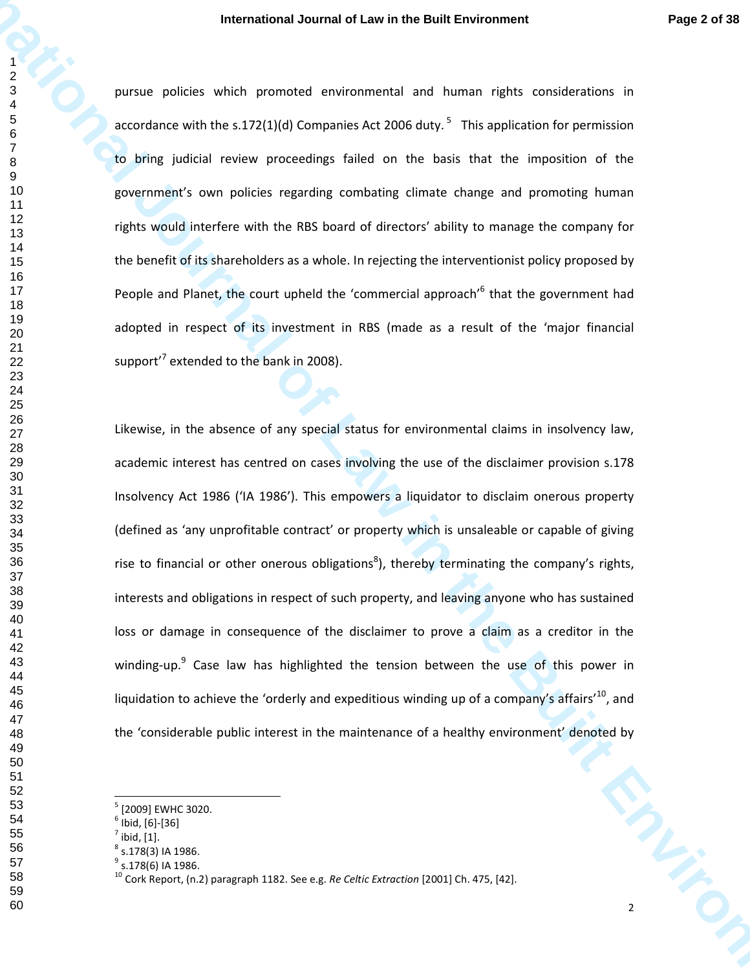pursue policies which promoted environmental and human rights considerations in accordance with the s.172(1)(d) Companies Act 2006 duty.<sup>5</sup> This application for permission to bring judicial review proceedings failed on the basis that the imposition of the government's own policies regarding combating climate change and promoting human rights would interfere with the RBS board of directors' ability to manage the company for the benefit of its shareholders as a whole. In rejecting the interventionist policy proposed by People and Planet, the court upheld the 'commercial approach'<sup>6</sup> that the government had adopted in respect of its investment in RBS (made as a result of the 'major financial support'<sup>7</sup> extended to the bank in 2008).

**International Journal of Law in the Built Environment Page 2 of 38<br>
Page 2 of 38<br>
Patrol Page 2 of 38<br>
Patrol Built Environmental of the United State Consideration in<br>
Packard of the State Considers and State Considers an** Likewise, in the absence of any special status for environmental claims in insolvency law, academic interest has centred on cases involving the use of the disclaimer provision s.178 Insolvency Act 1986 ('IA 1986'). This empowers a liquidator to disclaim onerous property (defined as 'any unprofitable contract' or property which is unsaleable or capable of giving rise to financial or other onerous obligations<sup>8</sup>), thereby terminating the company's rights, interests and obligations in respect of such property, and leaving anyone who has sustained loss or damage in consequence of the disclaimer to prove a claim as a creditor in the winding-up.<sup>9</sup> Case law has highlighted the tension between the use of this power in liquidation to achieve the 'orderly and expeditious winding up of a company's affairs'<sup>10</sup>, and the 'considerable public interest in the maintenance of a healthy environment' denoted by

<sup>&</sup>lt;sup>5</sup> [2009] EWHC 3020.

 $^6$  Ibid, [6]-[36]

 $^7$  ibid, [1].

 $^8$  s.178(3) IA 1986.

 $^9$  s.178(6) IA 1986.

Cork Report, (n.2) paragraph 1182. See e.g. *Re Celtic Extraction* [2001] Ch. 475, [42].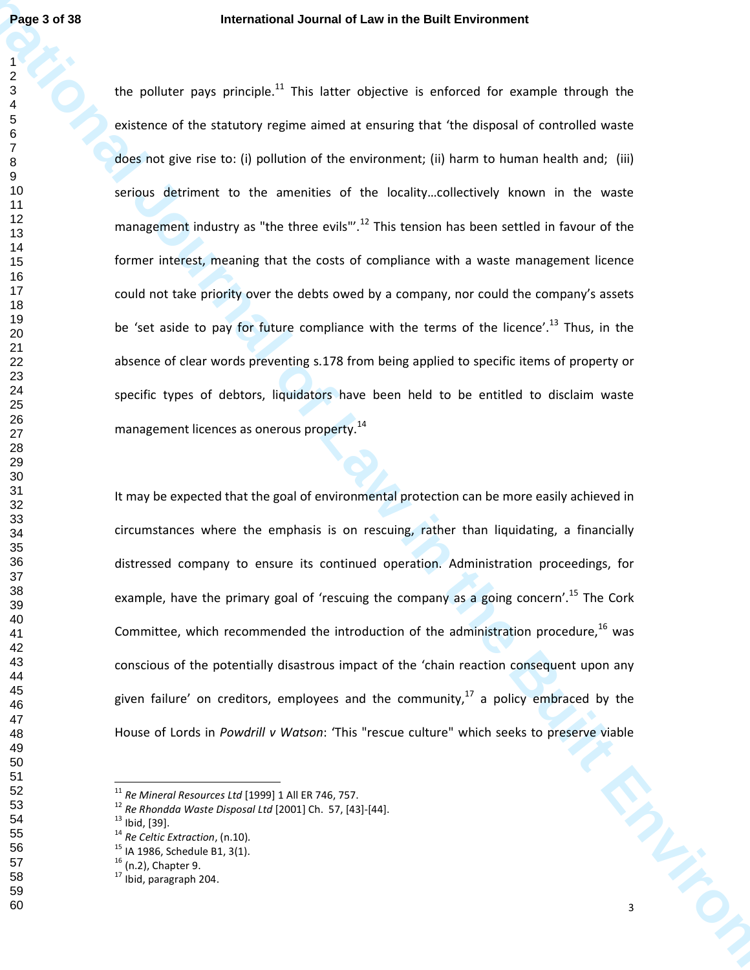**Page 3 of 38**<br> **International Journal of Law in the Built Environment**<br> **I** de politier se préside <sup>11</sup> This letter objective is enforced for example through the<br> **I** de contexte af the statutory regime annel at encampe t the polluter pays principle.<sup>11</sup> This latter objective is enforced for example through the existence of the statutory regime aimed at ensuring that 'the disposal of controlled waste does not give rise to: (i) pollution of the environment; (ii) harm to human health and; (iii) serious detriment to the amenities of the locality…collectively known in the waste management industry as "the three evils"'.<sup>12</sup> This tension has been settled in favour of the former interest, meaning that the costs of compliance with a waste management licence could not take priority over the debts owed by a company, nor could the company's assets be 'set aside to pay for future compliance with the terms of the licence'.<sup>13</sup> Thus, in the absence of clear words preventing s.178 from being applied to specific items of property or specific types of debtors, liquidators have been held to be entitled to disclaim waste management licences as onerous property.<sup>14</sup>

It may be expected that the goal of environmental protection can be more easily achieved in circumstances where the emphasis is on rescuing, rather than liquidating, a financially distressed company to ensure its continued operation. Administration proceedings, for example, have the primary goal of 'rescuing the company as a going concern'.<sup>15</sup> The Cork Committee, which recommended the introduction of the administration procedure,  $^{16}$  was conscious of the potentially disastrous impact of the 'chain reaction consequent upon any given failure' on creditors, employees and the community, a policy embraced by the House of Lords in *Powdrill v Watson*: 'This "rescue culture" which seeks to preserve viable

*Re Mineral Resources Ltd* [1999] 1 All ER 746, 757.

*Re Rhondda Waste Disposal Ltd* [2001] Ch. 57, [43]-[44].

Ibid, [39].

*Re Celtic Extraction*, (n.10)*.*

<sup>&</sup>lt;sup>15</sup> IA 1986, Schedule B1, 3(1).

(n.2), Chapter 9.

Ibid, paragraph 204.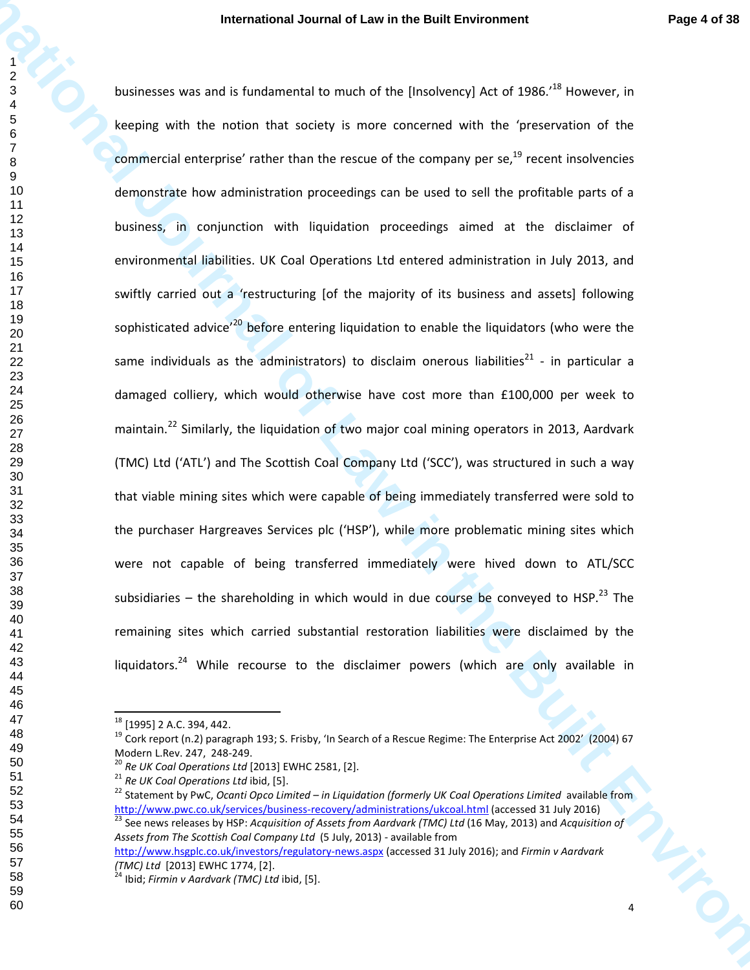**International Journal of Law in the Built Environment Page 4 of 38<br>
International of Law international or the University of AL of 1965.<sup>14</sup> However, in<br>
International or the motion that existly a more concerned with the** businesses was and is fundamental to much of the [Insolvency] Act of 1986.<sup>18</sup> However, in keeping with the notion that society is more concerned with the 'preservation of the commercial enterprise' rather than the rescue of the company per se, $^{19}$  recent insolvencies demonstrate how administration proceedings can be used to sell the profitable parts of a business, in conjunction with liquidation proceedings aimed at the disclaimer of environmental liabilities. UK Coal Operations Ltd entered administration in July 2013, and swiftly carried out a 'restructuring [of the majority of its business and assets] following sophisticated advice<sup>'20</sup> before entering liquidation to enable the liquidators (who were the same individuals as the administrators) to disclaim onerous liabilities<sup>21</sup> - in particular a damaged colliery, which would otherwise have cost more than £100,000 per week to maintain.<sup>22</sup> Similarly, the liquidation of two major coal mining operators in 2013, Aardvark (TMC) Ltd ('ATL') and The Scottish Coal Company Ltd ('SCC'), was structured in such a way that viable mining sites which were capable of being immediately transferred were sold to the purchaser Hargreaves Services plc ('HSP'), while more problematic mining sites which were not capable of being transferred immediately were hived down to ATL/SCC subsidiaries – the shareholding in which would in due course be conveyed to HSP.<sup>23</sup> The remaining sites which carried substantial restoration liabilities were disclaimed by the liquidators.<sup>24</sup> While recourse to the disclaimer powers (which are only available in

<sup>&</sup>lt;sup>18</sup> [1995] 2 A.C. 394, 442.

 Cork report (n.2) paragraph 193; S. Frisby, 'In Search of a Rescue Regime: The Enterprise Act 2002' (2004) 67 Modern L.Rev. 247, 248-249.

*Re UK Coal Operations Ltd* [2013] EWHC 2581, [2].

*Re UK Coal Operations Ltd* ibid, [5].

<sup>&</sup>lt;sup>22</sup> Statement by PwC, *Ocanti Opco Limited – in Liquidation (formerly UK Coal Operations Limited* available from http://www.pwc.co.uk/services/business-recovery/administrations/ukcoal.html (accessed 31 July 2016) See news releases by HSP: *Acquisition of Assets from Aardvark (TMC) Ltd* (16 May, 2013) and *Acquisition of Assets from The Scottish Coal Company Ltd* (5 July, 2013) - available from

http://www.hsgplc.co.uk/investors/regulatory-news.aspx (accessed 31 July 2016); and *Firmin v Aardvark (TMC) Ltd* [2013] EWHC 1774, [2].

Ibid; *Firmin v Aardvark (TMC) Ltd* ibid, [5].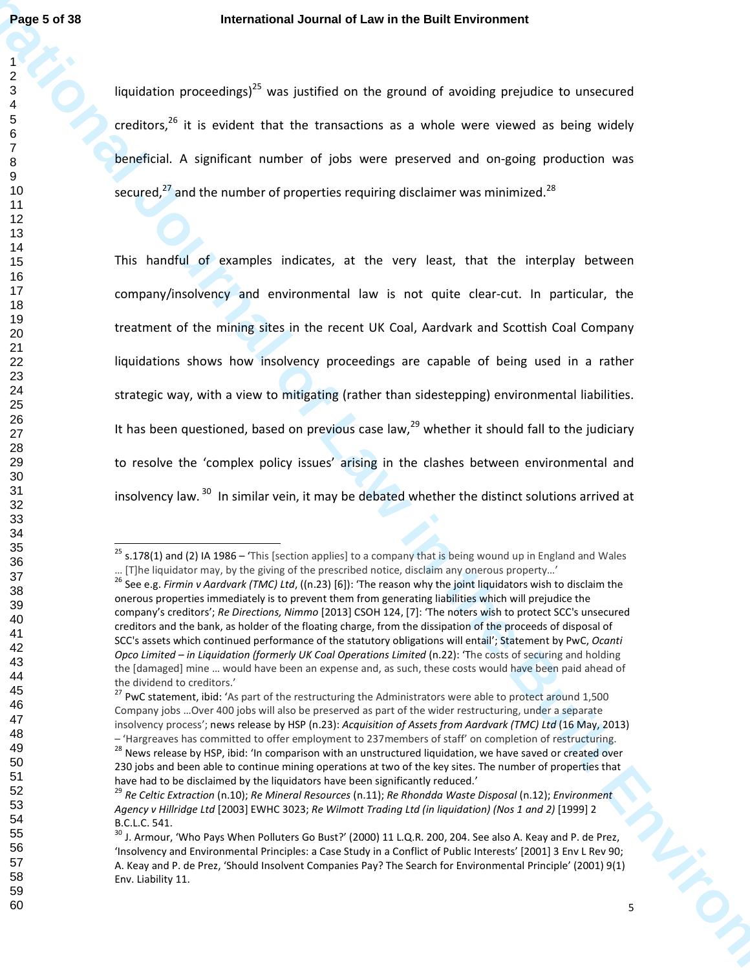liquidation proceedings)<sup>25</sup> was justified on the ground of avoiding prejudice to unsecured creditors, it is evident that the transactions as a whole were viewed as being widely beneficial. A significant number of jobs were preserved and on-going production was secured, $^{27}$  and the number of properties requiring disclaimer was minimized.<sup>28</sup>

**Page 5 of 38**<br>
International Journal of Law in the Built Environment<br>
1 conditions, in the Built Environment of a solicity of a solicity of the Built Environment<br>
2 conditions, it is reduced that the transportation as a c This handful of examples indicates, at the very least, that the interplay between company/insolvency and environmental law is not quite clear-cut. In particular, the treatment of the mining sites in the recent UK Coal, Aardvark and Scottish Coal Company liquidations shows how insolvency proceedings are capable of being used in a rather strategic way, with a view to mitigating (rather than sidestepping) environmental liabilities. It has been questioned, based on previous case law, $^{29}$  whether it should fall to the judiciary to resolve the 'complex policy issues' arising in the clashes between environmental and insolvency law.<sup>30</sup> In similar vein, it may be debated whether the distinct solutions arrived at

s.178(1) and (2) IA 1986 – 'This [section applies] to a company that is being wound up in England and Wales … [T]he liquidator may, by the giving of the prescribed notice, disclaim any onerous property…'

 See e.g. *Firmin v Aardvark (TMC) Ltd*, ((n.23) [6]): 'The reason why the joint liquidators wish to disclaim the onerous properties immediately is to prevent them from generating liabilities which will prejudice the company's creditors'; *Re Directions, Nimmo* [2013] CSOH 124, [7]: 'The noters wish to protect SCC's unsecured creditors and the bank, as holder of the floating charge, from the dissipation of the proceeds of disposal of SCC's assets which continued performance of the statutory obligations will entail'; Statement by PwC, *Ocanti Opco Limited – in Liquidation (formerly UK Coal Operations Limited (n.22): 'The costs of securing and holding* the [damaged] mine … would have been an expense and, as such, these costs would have been paid ahead of the dividend to creditors.'

<sup>&</sup>lt;sup>27</sup> PwC statement, ibid: 'As part of the restructuring the Administrators were able to protect around 1,500 Company jobs …Over 400 jobs will also be preserved as part of the wider restructuring, under a separate insolvency process'; news release by HSP (n.23): *Acquisition of Assets from Aardvark (TMC) Ltd* (16 May, 2013) – 'Hargreaves has committed to offer employment to 237members of staff' on completion of restructuring.

<sup>&</sup>lt;sup>28</sup> News release by HSP, ibid: 'In comparison with an unstructured liquidation, we have saved or created over 230 jobs and been able to continue mining operations at two of the key sites. The number of properties that have had to be disclaimed by the liquidators have been significantly reduced.'

 *Re Celtic Extraction* (n.10); *Re Mineral Resources* (n.11); *Re Rhondda Waste Disposal* (n.12); *Environment Agency v Hillridge Ltd* [2003] EWHC 3023; *Re Wilmott Trading Ltd (in liquidation) (Nos 1 and 2)* [1999] 2 B.C.L.C. 541.

 $^{30}$  J. Armour, 'Who Pays When Polluters Go Bust?' (2000) 11 L.Q.R. 200, 204. See also A. Keay and P. de Prez, 'Insolvency and Environmental Principles: a Case Study in a Conflict of Public Interests' [2001] 3 Env L Rev 90; A. Keay and P. de Prez, 'Should Insolvent Companies Pay? The Search for Environmental Principle' (2001) 9(1) Env. Liability 11.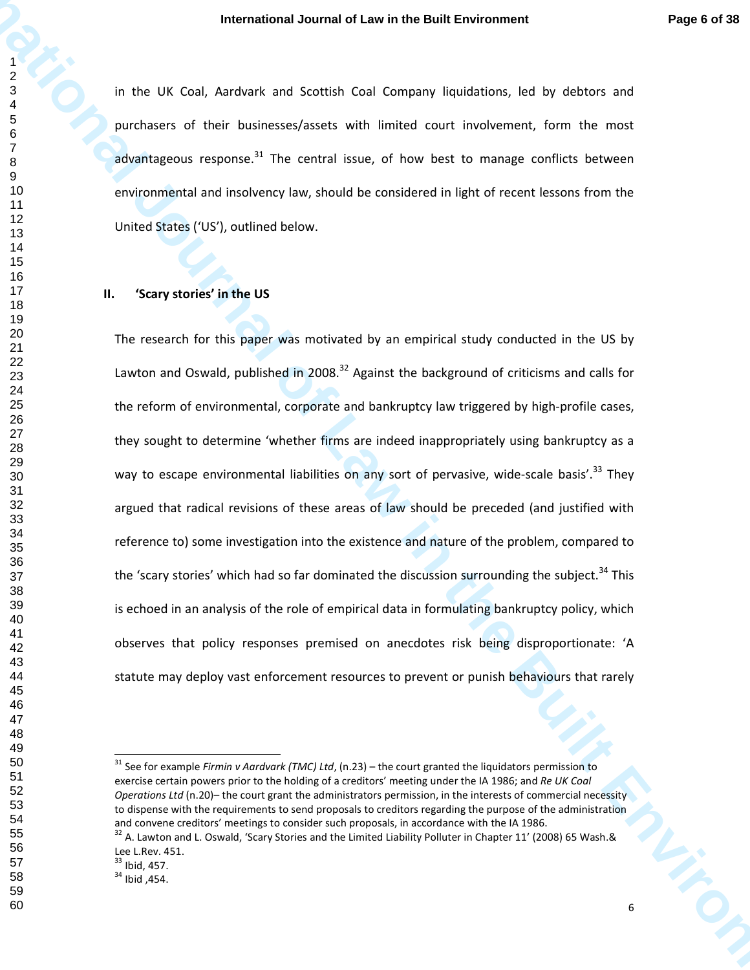in the UK Coal, Aardvark and Scottish Coal Company liquidations, led by debtors and purchasers of their businesses/assets with limited court involvement, form the most advantageous response. The central issue, of how best to manage conflicts between environmental and insolvency law, should be considered in light of recent lessons from the United States ('US'), outlined below.

#### **II. 'Scary stories' in the US**

**International Journal of Law in the Built Environment Page 6 of 38**<br> **In the UK Cori, Antonin and Social Cori Company Revisions, will by detects and<br>
<b>Page 6 of Strainers of the businessments** can be mainted source form t The research for this paper was motivated by an empirical study conducted in the US by Lawton and Oswald, published in 2008.<sup>32</sup> Against the background of criticisms and calls for the reform of environmental, corporate and bankruptcy law triggered by high-profile cases, they sought to determine 'whether firms are indeed inappropriately using bankruptcy as a way to escape environmental liabilities on any sort of pervasive, wide-scale basis'.<sup>33</sup> They argued that radical revisions of these areas of law should be preceded (and justified with reference to) some investigation into the existence and nature of the problem, compared to the 'scary stories' which had so far dominated the discussion surrounding the subject.<sup>34</sup> This is echoed in an analysis of the role of empirical data in formulating bankruptcy policy, which observes that policy responses premised on anecdotes risk being disproportionate: 'A statute may deploy vast enforcement resources to prevent or punish behaviours that rarely

 See for example *Firmin v Aardvark (TMC) Ltd*, (n.23) – the court granted the liquidators permission to exercise certain powers prior to the holding of a creditors' meeting under the IA 1986; and *Re UK Coal Operations Ltd* (n.20)– the court grant the administrators permission, in the interests of commercial necessity to dispense with the requirements to send proposals to creditors regarding the purpose of the administration and convene creditors' meetings to consider such proposals, in accordance with the IA 1986.

 A. Lawton and L. Oswald, 'Scary Stories and the Limited Liability Polluter in Chapter 11' (2008) 65 Wash.& Lee L.Rev. 451.

Ibid, 457.

Ibid, 454.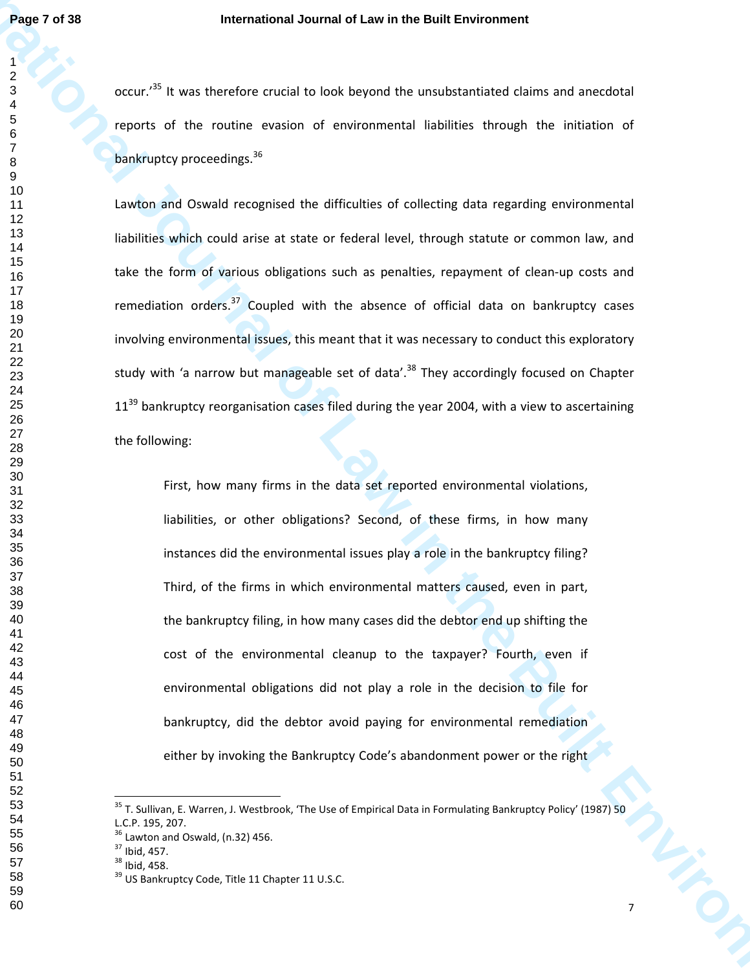occur.<sup>35</sup> It was therefore crucial to look beyond the unsubstantiated claims and anecdotal reports of the routine evasion of environmental liabilities through the initiation of bankruptcy proceedings.<sup>36</sup>

**Page 7 of 38**<br>
International dournal of Law in the Built Environment<br>
2 occur.<sup>19</sup> it was divertice to the terrorism in the Built Environmental<br> **International of the multiple content of environmental liabilities through** Lawton and Oswald recognised the difficulties of collecting data regarding environmental liabilities which could arise at state or federal level, through statute or common law, and take the form of various obligations such as penalties, repayment of clean-up costs and remediation orders. Coupled with the absence of official data on bankruptcy cases involving environmental issues, this meant that it was necessary to conduct this exploratory study with 'a narrow but manageable set of data'.<sup>38</sup> They accordingly focused on Chapter  $11^{39}$  bankruptcy reorganisation cases filed during the year 2004, with a view to ascertaining the following:

First, how many firms in the data set reported environmental violations, liabilities, or other obligations? Second, of these firms, in how many instances did the environmental issues play a role in the bankruptcy filing? Third, of the firms in which environmental matters caused, even in part, the bankruptcy filing, in how many cases did the debtor end up shifting the cost of the environmental cleanup to the taxpayer? Fourth, even if environmental obligations did not play a role in the decision to file for bankruptcy, did the debtor avoid paying for environmental remediation either by invoking the Bankruptcy Code's abandonment power or the right

<sup>&</sup>lt;sup>35</sup> T. Sullivan, E. Warren, J. Westbrook, 'The Use of Empirical Data in Formulating Bankruptcy Policy' (1987) 50 L.C.P. 195, 207.

Lawton and Oswald, (n.32) 456.

Ibid, 457.

Ibid, 458.

<sup>&</sup>lt;sup>39</sup> US Bankruptcy Code, Title 11 Chapter 11 U.S.C.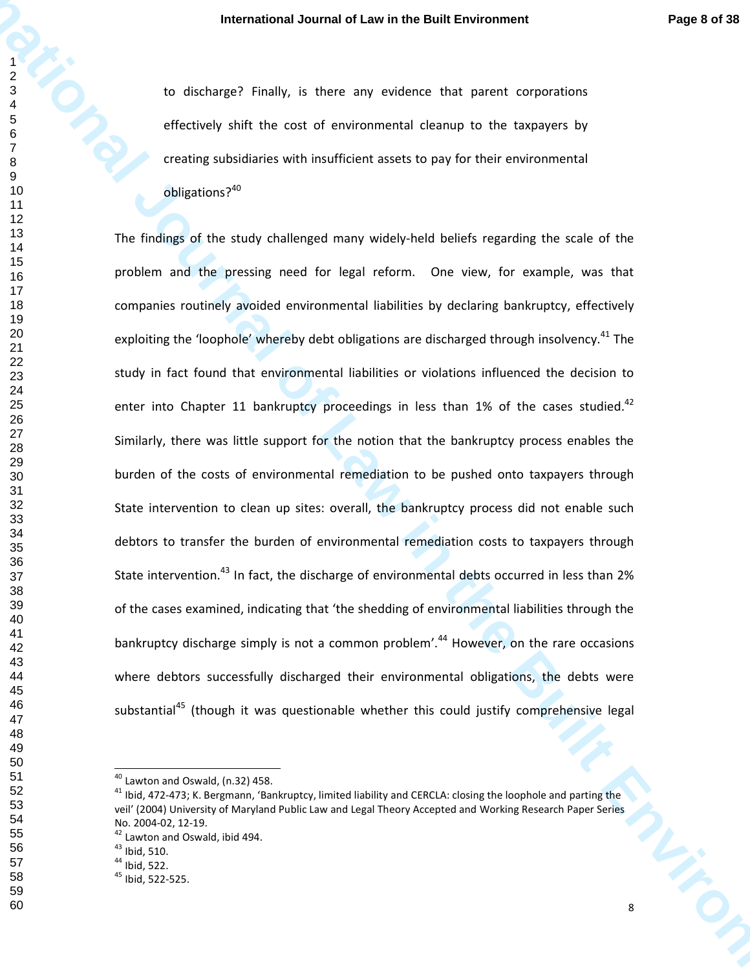to discharge? Finally, is there any evidence that parent corporations effectively shift the cost of environmental cleanup to the taxpayers by creating subsidiaries with insufficient assets to pay for their environmental obligations?<sup>40</sup>

**International Journal of Law in the European Environment Page 8 of 38**<br> **International of Sichland Control in the Built Environment Page 8 of 38**<br> **International of the Built Environmental density to the Page 8 of 38**<br> **I** The findings of the study challenged many widely-held beliefs regarding the scale of the problem and the pressing need for legal reform. One view, for example, was that companies routinely avoided environmental liabilities by declaring bankruptcy, effectively exploiting the 'loophole' whereby debt obligations are discharged through insolvency.<sup>41</sup> The study in fact found that environmental liabilities or violations influenced the decision to enter into Chapter 11 bankruptcy proceedings in less than 1% of the cases studied.Similarly, there was little support for the notion that the bankruptcy process enables the burden of the costs of environmental remediation to be pushed onto taxpayers through State intervention to clean up sites: overall, the bankruptcy process did not enable such debtors to transfer the burden of environmental remediation costs to taxpayers through State intervention.<sup>43</sup> In fact, the discharge of environmental debts occurred in less than 2% of the cases examined, indicating that 'the shedding of environmental liabilities through the bankruptcy discharge simply is not a common problem'.<sup>44</sup> However, on the rare occasions where debtors successfully discharged their environmental obligations, the debts were substantial<sup>45</sup> (though it was questionable whether this could justify comprehensive legal

Lawton and Oswald, (n.32) 458.

<sup>&</sup>lt;sup>41</sup> Ibid, 472-473; K. Bergmann, 'Bankruptcy, limited liability and CERCLA: closing the loophole and parting the veil' (2004) University of Maryland Public Law and Legal Theory Accepted and Working Research Paper Series No. 2004-02, 12-19.

<sup>&</sup>lt;sup>42</sup> Lawton and Oswald, ibid 494.

Ibid, 510.

Ibid, 522.

Ibid, 522-525.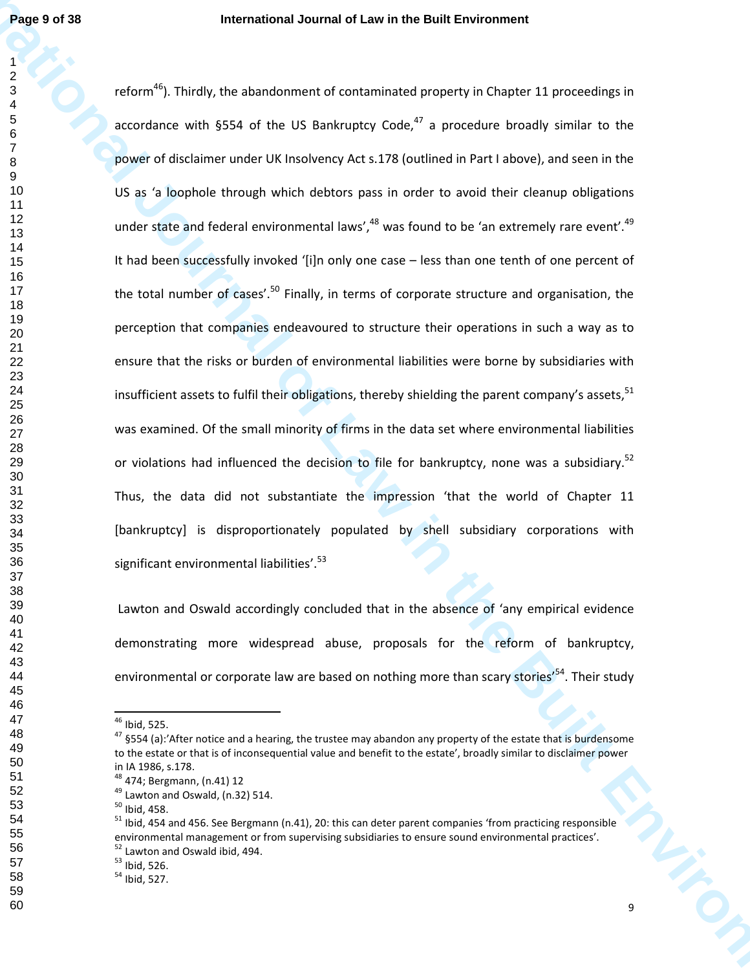**Page 19 of 38**<br> **International Journal of Law in the Built Environment**<br> **I** referre<sup>nt</sup>). This the student was also to contain inside the study of the University in<br> **I** accordance with \$504 of the Us Benkelping Lode, <sup>1</sup> reform<sup>46</sup>). Thirdly, the abandonment of contaminated property in Chapter 11 proceedings in accordance with §554 of the US Bankruptcy Code, $^{47}$  a procedure broadly similar to the power of disclaimer under UK Insolvency Act s.178 (outlined in Part I above), and seen in the US as 'a loophole through which debtors pass in order to avoid their cleanup obligations under state and federal environmental laws', was found to be 'an extremely rare event'. $49$ It had been successfully invoked '[i]n only one case - less than one tenth of one percent of the total number of cases'.<sup>50</sup> Finally, in terms of corporate structure and organisation, the perception that companies endeavoured to structure their operations in such a way as to ensure that the risks or burden of environmental liabilities were borne by subsidiaries with insufficient assets to fulfil their obligations, thereby shielding the parent company's assets, <sup>51</sup> was examined. Of the small minority of firms in the data set where environmental liabilities or violations had influenced the decision to file for bankruptcy, none was a subsidiary.<sup>52</sup> Thus, the data did not substantiate the impression 'that the world of Chapter 11 [bankruptcy] is disproportionately populated by shell subsidiary corporations with significant environmental liabilities'.<sup>53</sup>

 Lawton and Oswald accordingly concluded that in the absence of 'any empirical evidence demonstrating more widespread abuse, proposals for the reform of bankruptcy, environmental or corporate law are based on nothing more than scary stories<sup>'54</sup>. Their study

Ibid, 525.

 §554 (a):'After notice and a hearing, the trustee may abandon any property of the estate that is burdensome to the estate or that is of inconsequential value and benefit to the estate', broadly similar to disclaimer power in IA 1986, s.178.

474; Bergmann, (n.41) 12

Lawton and Oswald, (n.32) 514.

Ibid, 458.

<sup>&</sup>lt;sup>51</sup> Ibid, 454 and 456. See Bergmann (n.41), 20: this can deter parent companies 'from practicing responsible environmental management or from supervising subsidiaries to ensure sound environmental practices'. <sup>52</sup> Lawton and Oswald ibid, 494.

Ibid, 526.

Ibid, 527.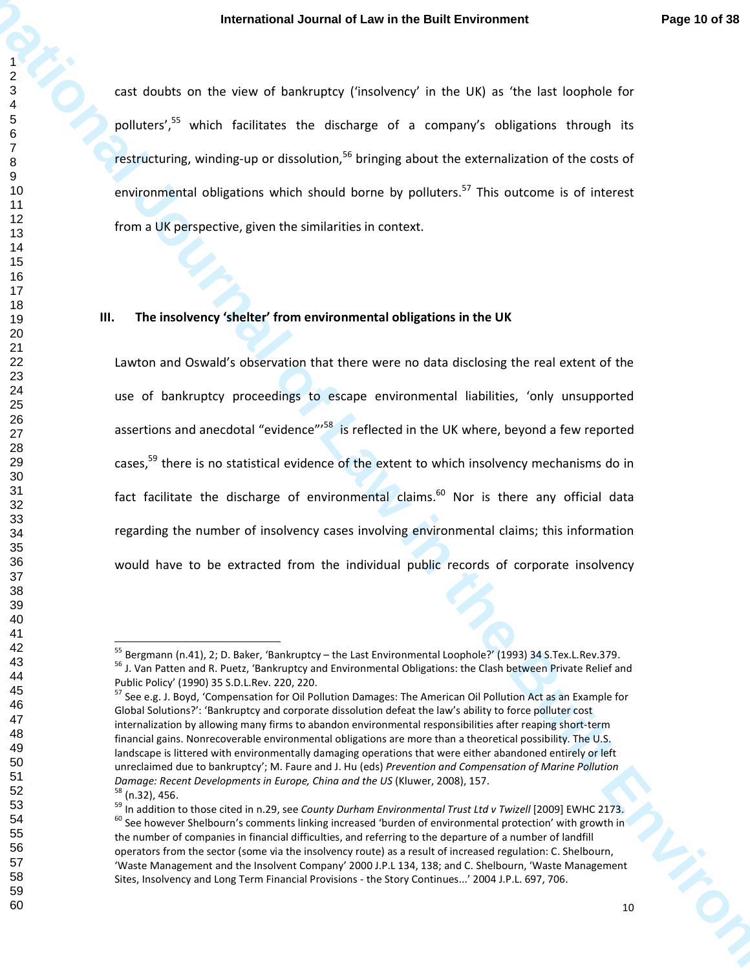cast doubts on the view of bankruptcy ('insolvency' in the UK) as 'the last loophole for polluters',<sup>55</sup> which facilitates the discharge of a company's obligations through its restructuring, winding-up or dissolution, bringing about the externalization of the costs of environmental obligations which should borne by polluters.<sup>57</sup> This outcome is of interest from a UK perspective, given the similarities in context.

#### **III. The insolvency 'shelter' from environmental obligations in the UK**

**International Journal of Law in the Euli Environment Page 10 of 38**<br> **International of Law international of Law international of Law international of Law increase the School School<br>
<b>International of Law international of** Lawton and Oswald's observation that there were no data disclosing the real extent of the use of bankruptcy proceedings to escape environmental liabilities, 'only unsupported assertions and anecdotal "evidence"<sup>158</sup> is reflected in the UK where, beyond a few reported cases,<sup>59</sup> there is no statistical evidence of the extent to which insolvency mechanisms do in fact facilitate the discharge of environmental claims.<sup>60</sup> Nor is there any official data regarding the number of insolvency cases involving environmental claims; this information would have to be extracted from the individual public records of corporate insolvency

<sup>&</sup>lt;sup>55</sup> Bergmann (n.41), 2; D. Baker, 'Bankruptcy – the Last Environmental Loophole?' (1993) 34 S.Tex.L.Rev.379. <sup>56</sup> J. Van Patten and R. Puetz, 'Bankruptcy and Environmental Obligations: the Clash between Private Relief and Public Policy' (1990) 35 S.D.L.Rev. 220, 220.

 See e.g. J. Boyd, 'Compensation for Oil Pollution Damages: The American Oil Pollution Act as an Example for Global Solutions?': 'Bankruptcy and corporate dissolution defeat the law's ability to force polluter cost internalization by allowing many firms to abandon environmental responsibilities after reaping short-term financial gains. Nonrecoverable environmental obligations are more than a theoretical possibility. The U.S. landscape is littered with environmentally damaging operations that were either abandoned entirely or left unreclaimed due to bankruptcy'; M. Faure and J. Hu (eds) *Prevention and Compensation of Marine Pollution Damage: Recent Developments in Europe, China and the US* (Kluwer, 2008), 157. (n.32), 456.

<sup>&</sup>lt;sup>59</sup> In addition to those cited in n.29, see *County Durham Environmental Trust Ltd v Twizell* [2009] EWHC 2173. See however Shelbourn's comments linking increased 'burden of environmental protection' with growth in the number of companies in financial difficulties, and referring to the departure of a number of landfill operators from the sector (some via the insolvency route) as a result of increased regulation: C. Shelbourn, 'Waste Management and the Insolvent Company' 2000 J.P.L 134, 138; and C. Shelbourn, 'Waste Management Sites, Insolvency and Long Term Financial Provisions - the Story Continues...' 2004 J.P.L. 697, 706.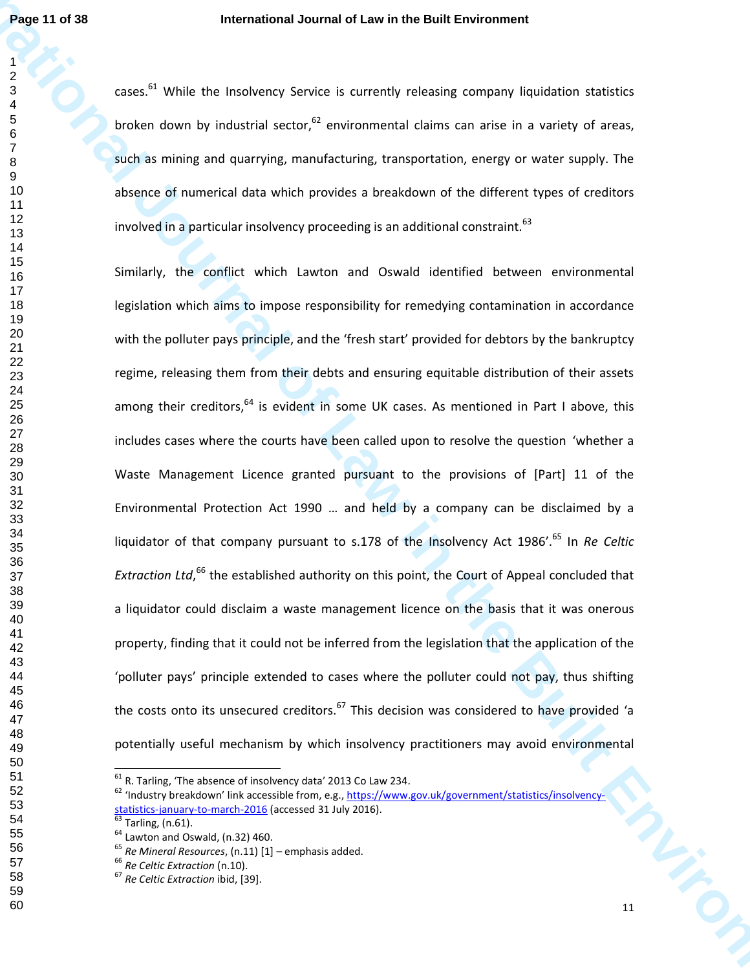$cases$ <sup>61</sup> While the Insolvency Service is currently releasing company liquidation statistics broken down by industrial sector, environmental claims can arise in a variety of areas, such as mining and quarrying, manufacturing, transportation, energy or water supply. The absence of numerical data which provides a breakdown of the different types of creditors involved in a particular insolvency proceeding is an additional constraint.  $63$ 

**Page 11 of 18.**<br>
International Journal of Law in the Businessmin company indication statistics<br>  $\frac{3}{4}$ <br>
Cause  $\frac{1}{4}$ <br>
Cause  $\frac{1}{4}$ <br>
Cause  $\frac{1}{4}$ <br>
Cause  $\frac{1}{4}$ <br>
Cause  $\frac{1}{4}$ <br>
Cause  $\frac{1}{4}$  is more and Similarly, the conflict which Lawton and Oswald identified between environmental legislation which aims to impose responsibility for remedying contamination in accordance with the polluter pays principle, and the 'fresh start' provided for debtors by the bankruptcy regime, releasing them from their debts and ensuring equitable distribution of their assets among their creditors, is evident in some UK cases. As mentioned in Part I above, this includes cases where the courts have been called upon to resolve the question 'whether a Waste Management Licence granted pursuant to the provisions of [Part] 11 of the Environmental Protection Act 1990 … and held by a company can be disclaimed by a liquidator of that company pursuant to s.178 of the Insolvency Act 1986'.<sup>65</sup> In *Re Celtic* Extraction Ltd,<sup>66</sup> the established authority on this point, the Court of Appeal concluded that a liquidator could disclaim a waste management licence on the basis that it was onerous property, finding that it could not be inferred from the legislation that the application of the 'polluter pays' principle extended to cases where the polluter could not pay, thus shifting the costs onto its unsecured creditors. This decision was considered to have provided 'a potentially useful mechanism by which insolvency practitioners may avoid environmental

R. Tarling, 'The absence of insolvency data' 2013 Co Law 234.

 'Industry breakdown' link accessible from, e.g., https://www.gov.uk/government/statistics/insolvencystatistics-january-to-march-2016 (accessed 31 July 2016).

Tarling,  $(n.61)$ .

 $<sup>64</sup>$  Lawton and Oswald, (n.32) 460.</sup>

*Re Mineral Resources*, (n.11) [1] – emphasis added.

*Re Celtic Extraction* (n.10).

*Re Celtic Extraction* ibid, [39].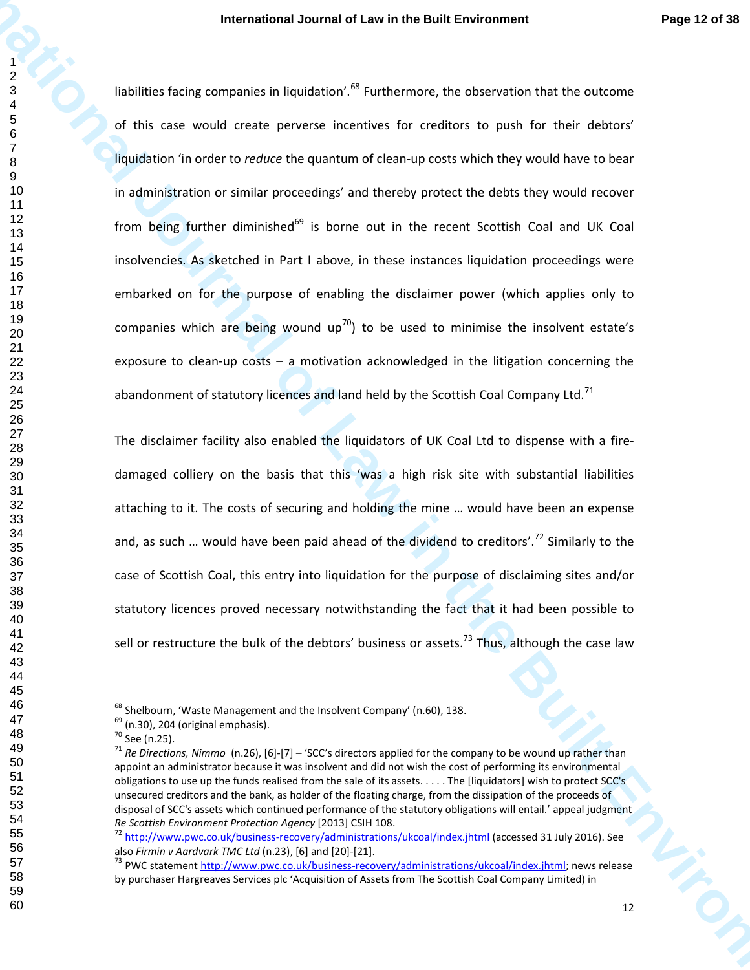**International Journal of Law in the Built Environment Page 12 of 38**<br> **International relative in the Built Environment Packar and the Built Environment Characteristics in the Context<br>
of the mass vesual order arrester met** liabilities facing companies in liquidation'.<sup>68</sup> Furthermore, the observation that the outcome of this case would create perverse incentives for creditors to push for their debtors' liquidation 'in order to *reduce* the quantum of clean-up costs which they would have to bear in administration or similar proceedings' and thereby protect the debts they would recover from being further diminished<sup>69</sup> is borne out in the recent Scottish Coal and UK Coal insolvencies. As sketched in Part I above, in these instances liquidation proceedings were embarked on for the purpose of enabling the disclaimer power (which applies only to companies which are being wound  $up^{70}$ ) to be used to minimise the insolvent estate's exposure to clean-up costs  $-$  a motivation acknowledged in the litigation concerning the abandonment of statutory licences and land held by the Scottish Coal Company Ltd.<sup>71</sup>

The disclaimer facility also enabled the liquidators of UK Coal Ltd to dispense with a firedamaged colliery on the basis that this 'was a high risk site with substantial liabilities attaching to it. The costs of securing and holding the mine … would have been an expense and, as such ... would have been paid ahead of the dividend to creditors'.<sup>72</sup> Similarly to the case of Scottish Coal, this entry into liquidation for the purpose of disclaiming sites and/or statutory licences proved necessary notwithstanding the fact that it had been possible to sell or restructure the bulk of the debtors' business or assets.<sup>73</sup> Thus, although the case law

 $^{68}$  Shelbourn, 'Waste Management and the Insolvent Company' (n.60), 138.

 $<sup>69</sup>$  (n.30), 204 (original emphasis).</sup>

See (n.25).

 *Re Directions, Nimmo* (n.26), [6]-[7] – 'SCC's directors applied for the company to be wound up rather than appoint an administrator because it was insolvent and did not wish the cost of performing its environmental obligations to use up the funds realised from the sale of its assets. . . . . The [liquidators] wish to protect SCC's unsecured creditors and the bank, as holder of the floating charge, from the dissipation of the proceeds of disposal of SCC's assets which continued performance of the statutory obligations will entail.' appeal judgment *Re Scottish Environment Protection Agency* [2013] CSIH 108.

<sup>&</sup>lt;sup>72</sup> http://www.pwc.co.uk/business-recovery/administrations/ukcoal/index.jhtml (accessed 31 July 2016). See also *Firmin v Aardvark TMC Ltd* (n.23), [6] and [20]-[21].

<sup>&</sup>lt;sup>73</sup> PWC statement http://www.pwc.co.uk/business-recovery/administrations/ukcoal/index.jhtml; news release by purchaser Hargreaves Services plc 'Acquisition of Assets from The Scottish Coal Company Limited) in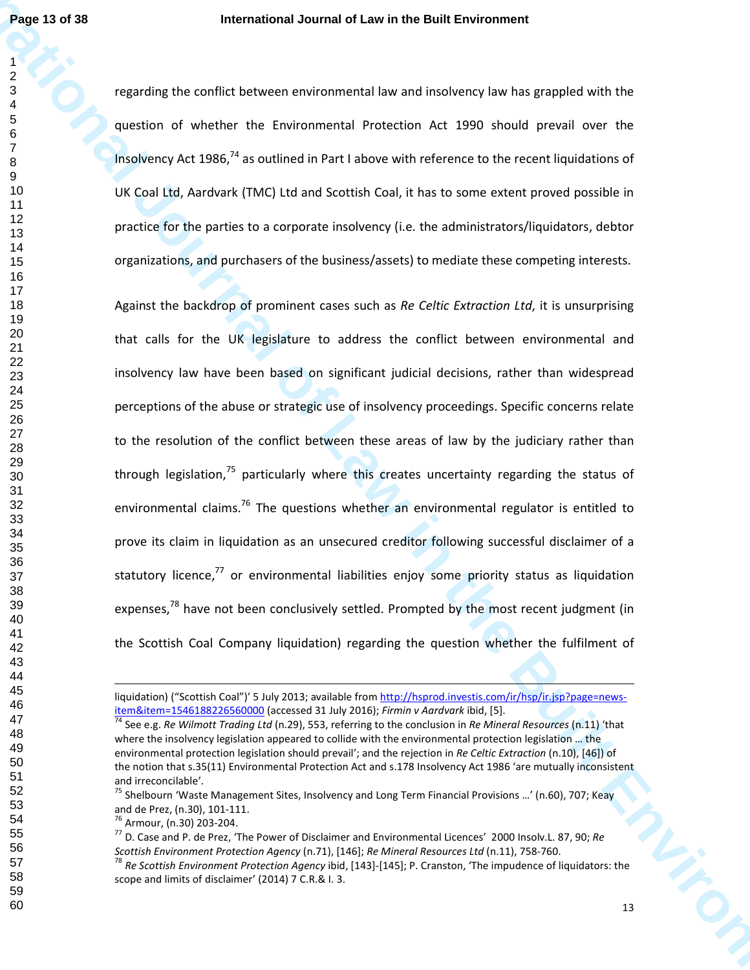regarding the conflict between environmental law and insolvency law has grappled with the question of whether the Environmental Protection Act 1990 should prevail over the Insolvency Act 1986,<sup>74</sup> as outlined in Part I above with reference to the recent liquidations of UK Coal Ltd, Aardvark (TMC) Ltd and Scottish Coal, it has to some extent proved possible in practice for the parties to a corporate insolvency (i.e. the administrators/liquidators, debtor organizations, and purchasers of the business/assets) to mediate these competing interests.

**Page 13 of 38**<br> **International Journal of Law in the Built Environmental of the Built Environmental of the Built Environmental Section 2014<br>
<b>International of the Environmental Presenting Artists and Section 2014 and Sect** Against the backdrop of prominent cases such as *Re Celtic Extraction Ltd*, it is unsurprising that calls for the UK legislature to address the conflict between environmental and insolvency law have been based on significant judicial decisions, rather than widespread perceptions of the abuse or strategic use of insolvency proceedings. Specific concerns relate to the resolution of the conflict between these areas of law by the judiciary rather than through legislation, particularly where this creates uncertainty regarding the status of environmental claims.<sup>76</sup> The questions whether an environmental regulator is entitled to prove its claim in liquidation as an unsecured creditor following successful disclaimer of a statutory licence.<sup>77</sup> or environmental liabilities eniov some priority status as liquidation expenses,<sup>78</sup> have not been conclusively settled. Prompted by the most recent judgment (in the Scottish Coal Company liquidation) regarding the question whether the fulfilment of

l

liquidation) ("Scottish Coal")' 5 July 2013; available from http://hsprod.investis.com/ir/hsp/ir.jsp?page=newsitem&item=1546188226560000 (accessed 31 July 2016); *Firmin v Aardvark* ibid, [5].

 See e.g. *Re Wilmott Trading Ltd* (n.29), 553, referring to the conclusion in *Re Mineral Resources* (n.11) 'that where the insolvency legislation appeared to collide with the environmental protection legislation ... the environmental protection legislation should prevail'; and the rejection in *Re Celtic Extraction* (n.10), [46]) of the notion that s.35(11) Environmental Protection Act and s.178 Insolvency Act 1986 'are mutually inconsistent and irreconcilable'.

<sup>&</sup>lt;sup>75</sup> Shelbourn 'Waste Management Sites, Insolvency and Long Term Financial Provisions ...' (n.60), 707; Keay and de Prez, (n.30), 101-111.

Armour, (n.30) 203-204.

 D. Case and P. de Prez, 'The Power of Disclaimer and Environmental Licences' 2000 Insolv.L. 87, 90; *Re Scottish Environment Protection Agency* (n.71), [146]; *Re Mineral Resources Ltd* (n.11), 758-760.

 *Re Scottish Environment Protection Agency* ibid, [143]-[145]; P. Cranston, 'The impudence of liquidators: the scope and limits of disclaimer' (2014) 7 C.R.& I. 3.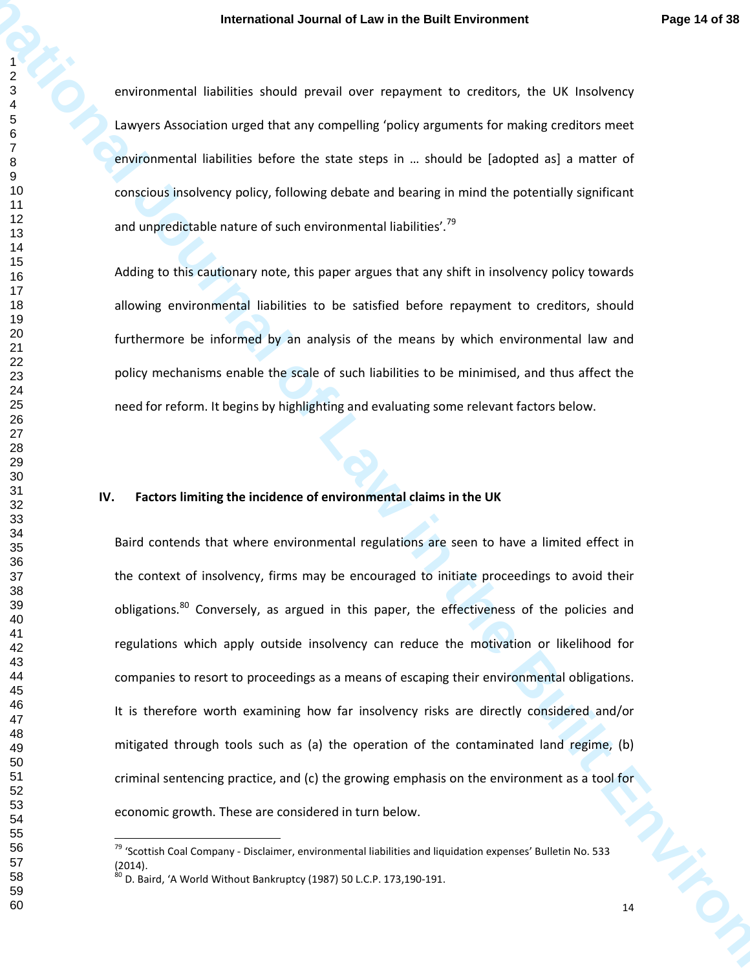environmental liabilities should prevail over repayment to creditors, the UK Insolvency Lawyers Association urged that any compelling 'policy arguments for making creditors meet environmental liabilities before the state steps in … should be [adopted as] a matter of conscious insolvency policy, following debate and bearing in mind the potentially significant and unpredictable nature of such environmental liabilities'.<sup>79</sup>

Adding to this cautionary note, this paper argues that any shift in insolvency policy towards allowing environmental liabilities to be satisfied before repayment to creditors, should furthermore be informed by an analysis of the means by which environmental law and policy mechanisms enable the scale of such liabilities to be minimised, and thus affect the need for reform. It begins by highlighting and evaluating some relevant factors below.

# **IV. Factors limiting the incidence of environmental claims in the UK**

**International Journal of Law in the Built Environment Page t4 of 38**<br> **International Total Scheme Stress Stress Scheme Stress Scheme Stress Scheme Stress Scheme Stress Scheme Stress Scheme Stress Scheme Stress Scheme Sche** Baird contends that where environmental regulations are seen to have a limited effect in the context of insolvency, firms may be encouraged to initiate proceedings to avoid their obligations.<sup>80</sup> Conversely, as argued in this paper, the effectiveness of the policies and regulations which apply outside insolvency can reduce the motivation or likelihood for companies to resort to proceedings as a means of escaping their environmental obligations. It is therefore worth examining how far insolvency risks are directly considered and/or mitigated through tools such as (a) the operation of the contaminated land regime, (b) criminal sentencing practice, and (c) the growing emphasis on the environment as a tool for economic growth. These are considered in turn below.

 'Scottish Coal Company - Disclaimer, environmental liabilities and liquidation expenses' Bulletin No. 533 (2014).

 $^{80}$  D. Baird, 'A World Without Bankruptcy (1987) 50 L.C.P. 173,190-191.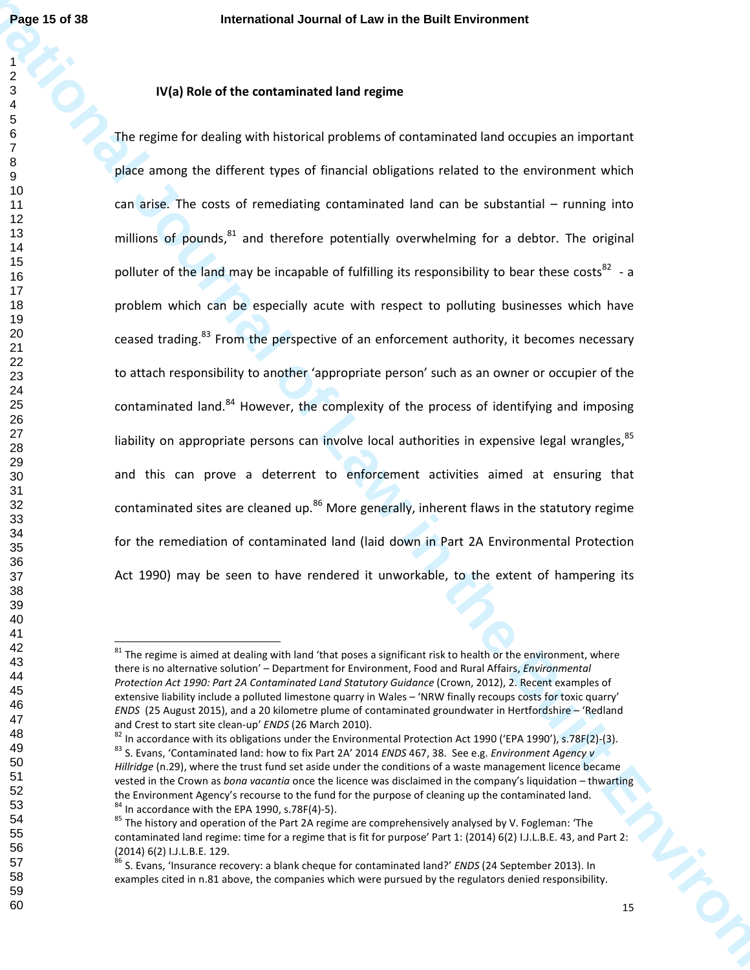# **IV(a) Role of the contaminated land regime**

**Page 15 of 38**<br> **International of Law in the Built Environment<br>
<b>International of the contentioned land environmental land decays at linguous case<br>
International of the Contentioned land decay for the Built Environmental<br>** The regime for dealing with historical problems of contaminated land occupies an important place among the different types of financial obligations related to the environment which can arise. The costs of remediating contaminated land can be substantial – running into millions of pounds.  $81$  and therefore potentially overwhelming for a debtor. The original polluter of the land may be incapable of fulfilling its responsibility to bear these costs<sup>82</sup> - a problem which can be especially acute with respect to polluting businesses which have ceased trading.<sup>83</sup> From the perspective of an enforcement authority, it becomes necessary to attach responsibility to another 'appropriate person' such as an owner or occupier of the contaminated land.<sup>84</sup> However, the complexity of the process of identifying and imposing liability on appropriate persons can involve local authorities in expensive legal wrangles. and this can prove a deterrent to enforcement activities aimed at ensuring that contaminated sites are cleaned up. More generally, inherent flaws in the statutory regime for the remediation of contaminated land (laid down in Part 2A Environmental Protection Act 1990) may be seen to have rendered it unworkable, to the extent of hampering its

 The regime is aimed at dealing with land 'that poses a significant risk to health or the environment, where there is no alternative solution' – Department for Environment, Food and Rural Affairs, *Environmental Protection Act 1990: Part 2A Contaminated Land Statutory Guidance* (Crown, 2012), 2. Recent examples of extensive liability include a polluted limestone quarry in Wales – 'NRW finally recoups costs for toxic quarry' *ENDS* (25 August 2015), and a 20 kilometre plume of contaminated groundwater in Hertfordshire – 'Redland and Crest to start site clean-up' *ENDS* (26 March 2010).

 In accordance with its obligations under the Environmental Protection Act 1990 ('EPA 1990'), s.78F(2)-(3). S. Evans, 'Contaminated land: how to fix Part 2A' 2014 *ENDS* 467, 38. See e.g. *Environment Agency v Hillridge* (n.29), where the trust fund set aside under the conditions of a waste management licence became vested in the Crown as *bona vacantia* once the licence was disclaimed in the company's liquidation – thwarting the Environment Agency's recourse to the fund for the purpose of cleaning up the contaminated land. In accordance with the EPA 1990, s.78F(4)-5).

 The history and operation of the Part 2A regime are comprehensively analysed by V. Fogleman: 'The contaminated land regime: time for a regime that is fit for purpose' Part 1: (2014) 6(2) I.J.L.B.E. 43, and Part 2: (2014) 6(2) I.J.L.B.E. 129.

 S. Evans, 'Insurance recovery: a blank cheque for contaminated land?' *ENDS* (24 September 2013). In examples cited in n.81 above, the companies which were pursued by the regulators denied responsibility.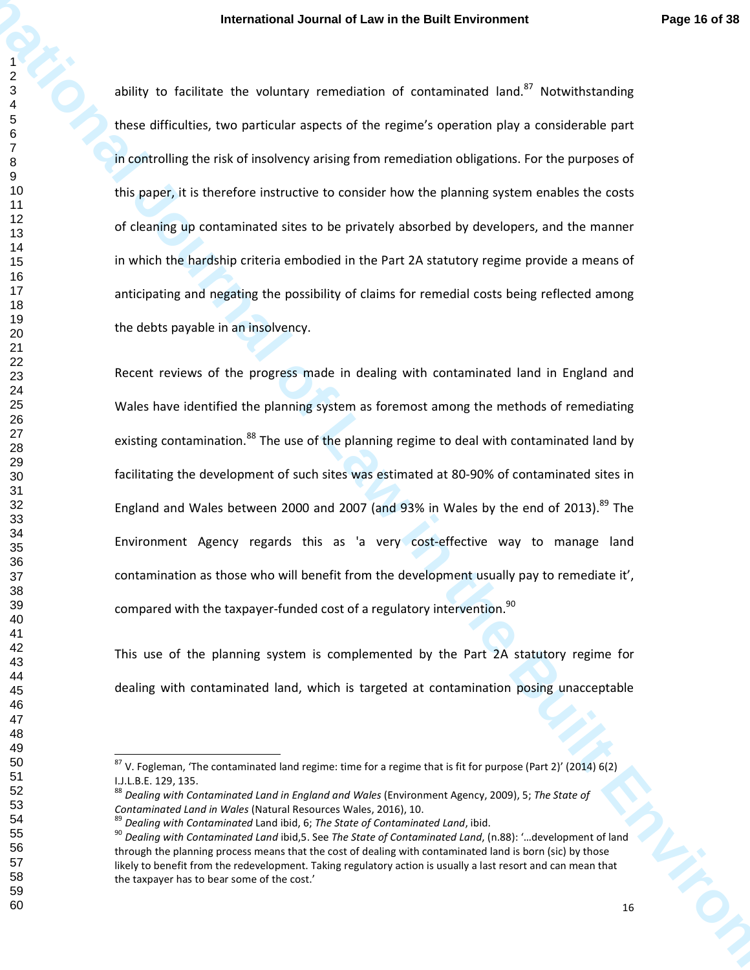ability to facilitate the voluntary remediation of contaminated land. Notwithstanding these difficulties, two particular aspects of the regime's operation play a considerable part in controlling the risk of insolvency arising from remediation obligations. For the purposes of this paper, it is therefore instructive to consider how the planning system enables the costs of cleaning up contaminated sites to be privately absorbed by developers, and the manner in which the hardship criteria embodied in the Part 2A statutory regime provide a means of anticipating and negating the possibility of claims for remedial costs being reflected among the debts payable in an insolvency.

**International Journal of Law in the Built Environment Page 14 of 38**<br> **International of The Construction Construction Constrained International of the Built Environment<br>
The extend of Law in the Built Environmental of the** Recent reviews of the progress made in dealing with contaminated land in England and Wales have identified the planning system as foremost among the methods of remediating existing contamination.<sup>88</sup> The use of the planning regime to deal with contaminated land by facilitating the development of such sites was estimated at 80-90% of contaminated sites in England and Wales between 2000 and 2007 (and 93% in Wales by the end of 2013). The Environment Agency regards this as 'a very cost-effective way to manage land contamination as those who will benefit from the development usually pay to remediate it', compared with the taxpayer-funded cost of a regulatory intervention.<sup>90</sup>

This use of the planning system is complemented by the Part 2A statutory regime for dealing with contaminated land, which is targeted at contamination posing unacceptable

 V. Fogleman, 'The contaminated land regime: time for a regime that is fit for purpose (Part 2)' (2014) 6(2) I.J.L.B.E. 129, 135.

 *Dealing with Contaminated Land in England and Wales* (Environment Agency, 2009), 5; *The State of Contaminated Land in Wales* (Natural Resources Wales, 2016), 10.

*Dealing with Contaminated* Land ibid, 6; *The State of Contaminated Land*, ibid.

 *Dealing with Contaminated Land* ibid,5. See *The State of Contaminated Land*, (n.88): '…development of land through the planning process means that the cost of dealing with contaminated land is born (sic) by those likely to benefit from the redevelopment. Taking regulatory action is usually a last resort and can mean that the taxpayer has to bear some of the cost.'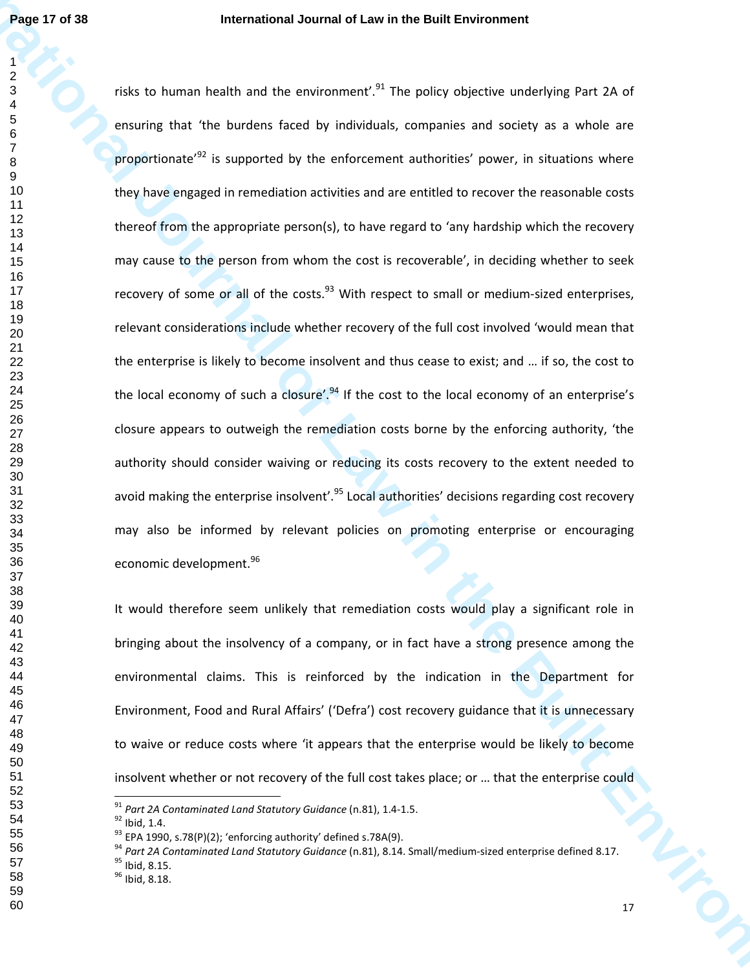**International Journal of Law in the Built Environment** risks to human health and the environment'.<sup>91</sup> The policy objective underlying Part 2A of ensuring that 'the burdens faced by individuals, companies and society as a whole are proportionate<sup>'92</sup> is supported by the enforcement authorities' power, in situations where they have engaged in remediation activities and are entitled to recover the reasonable costs thereof from the appropriate person(s), to have regard to 'any hardship which the recovery may cause to the person from whom the cost is recoverable', in deciding whether to seek recovery of some or all of the costs. $^{93}$  With respect to small or medium-sized enterprises, relevant considerations include whether recovery of the full cost involved 'would mean that the enterprise is likely to become insolvent and thus cease to exist; and … if so, the cost to the local economy of such a closure'.<sup>94</sup> If the cost to the local economy of an enterprise's closure appears to outweigh the remediation costs borne by the enforcing authority, 'the authority should consider waiving or reducing its costs recovery to the extent needed to avoid making the enterprise insolvent'.<sup>95</sup> Local authorities' decisions regarding cost recovery may also be informed by relevant policies on promoting enterprise or encouraging economic development.<sup>96</sup>

It would therefore seem unlikely that remediation costs would play a significant role in bringing about the insolvency of a company, or in fact have a strong presence among the environmental claims. This is reinforced by the indication in the Department for Environment, Food and Rural Affairs' ('Defra') cost recovery guidance that it is unnecessary to waive or reduce costs where 'it appears that the enterprise would be likely to become insolvent whether or not recovery of the full cost takes place; or … that the enterprise could

<sup>96</sup> Ibid, 8.18.

*Part 2A Contaminated Land Statutory Guidance* (n.81), 1.4-1.5.

Ibid, 1.4.

EPA 1990, s.78(P)(2); 'enforcing authority' defined s.78A(9).

*Part 2A Contaminated Land Statutory Guidance* (n.81), 8.14. Small/medium-sized enterprise defined 8.17.

<sup>&</sup>lt;sup>95</sup> Ibid, 8.15.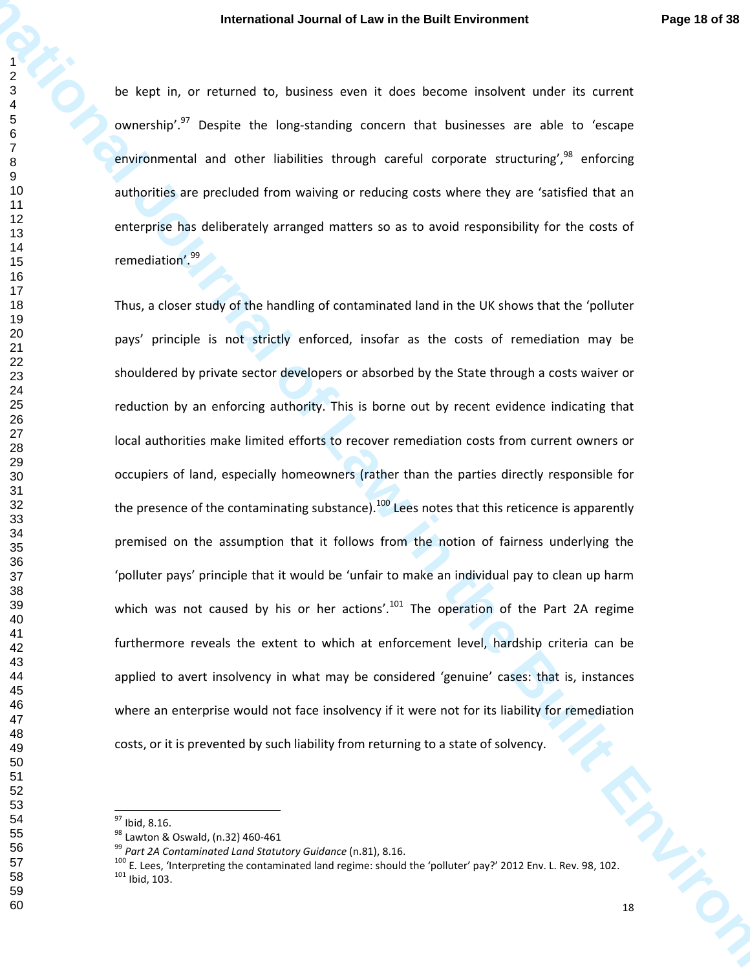be kept in, or returned to, business even it does become insolvent under its current ownership<sup>'.97</sup> Despite the long-standing concern that businesses are able to 'escape environmental and other liabilities through careful corporate structuring', enforcing authorities are precluded from waiving or reducing costs where they are 'satisfied that an enterprise has deliberately arranged matters so as to avoid responsibility for the costs of remediation'.<sup>99</sup>

**International Journal of Law in the Built Environment Page 13 of 33**<br> **International international of Law international of Law international of Law in the Built Environmental set of<br>
<b>International of the Built Environmen** 13 W. Thus, a closer study of the handling of contaminated land in the UK shows that the 'polluter pays' principle is not strictly enforced, insofar as the costs of remediation may be shouldered by private sector developers or absorbed by the State through a costs waiver or reduction by an enforcing authority. This is borne out by recent evidence indicating that local authorities make limited efforts to recover remediation costs from current owners or occupiers of land, especially homeowners (rather than the parties directly responsible for the presence of the contaminating substance).<sup>100</sup> Lees notes that this reticence is apparently premised on the assumption that it follows from the notion of fairness underlying the 'polluter pays' principle that it would be 'unfair to make an individual pay to clean up harm which was not caused by his or her actions'.<sup>101</sup> The operation of the Part 2A regime furthermore reveals the extent to which at enforcement level, hardship criteria can be applied to avert insolvency in what may be considered 'genuine' cases: that is, instances where an enterprise would not face insolvency if it were not for its liability for remediation costs, or it is prevented by such liability from returning to a state of solvency.

Ibid, 8.16.

<sup>98</sup> Lawton & Oswald, (n.32) 460-461

*Part 2A Contaminated Land Statutory Guidance* (n.81), 8.16.

 E. Lees, 'Interpreting the contaminated land regime: should the 'polluter' pay?' 2012 Env. L. Rev. 98, 102. Ibid, 103.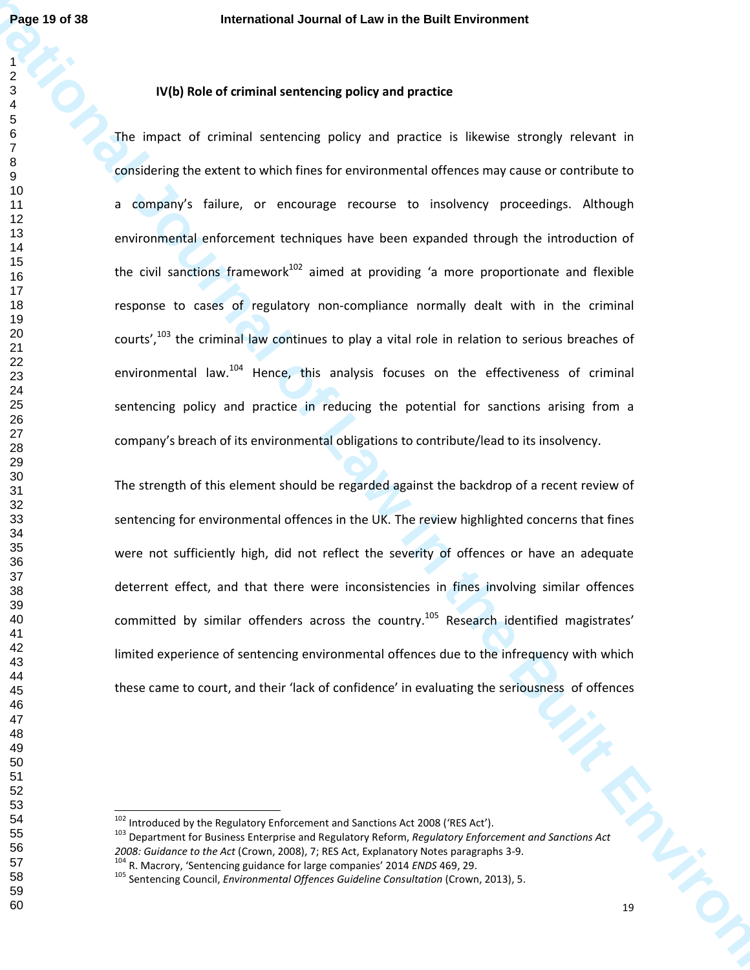# **IV(b) Role of criminal sentencing policy and practice**

**Page 13 of 38**<br> **International Journal of Law in the Built Environment<br>
<b>International and continue the Built Environment Continue of Built Environment<br>
<b>International of Constitution**<br> **International and continue of the** The impact of criminal sentencing policy and practice is likewise strongly relevant in considering the extent to which fines for environmental offences may cause or contribute to a company's failure, or encourage recourse to insolvency proceedings. Although environmental enforcement techniques have been expanded through the introduction of the civil sanctions framework<sup>102</sup> aimed at providing 'a more proportionate and flexible response to cases of regulatory non-compliance normally dealt with in the criminal courts',<sup>103</sup> the criminal law continues to play a vital role in relation to serious breaches of environmental law.<sup>104</sup> Hence, this analysis focuses on the effectiveness of criminal sentencing policy and practice in reducing the potential for sanctions arising from a company's breach of its environmental obligations to contribute/lead to its insolvency.

The strength of this element should be regarded against the backdrop of a recent review of sentencing for environmental offences in the UK. The review highlighted concerns that fines were not sufficiently high, did not reflect the severity of offences or have an adequate deterrent effect, and that there were inconsistencies in fines involving similar offences committed by similar offenders across the country.<sup>105</sup> Research identified magistrates' limited experience of sentencing environmental offences due to the infrequency with which these came to court, and their 'lack of confidence' in evaluating the seriousness of offences

Introduced by the Regulatory Enforcement and Sanctions Act 2008 ('RES Act').

 Department for Business Enterprise and Regulatory Reform, *Regulatory Enforcement and Sanctions Act 2008: Guidance to the Act* (Crown, 2008), 7; RES Act, Explanatory Notes paragraphs 3-9.

R. Macrory, 'Sentencing guidance for large companies' 2014 *ENDS* 469, 29.

<sup>&</sup>lt;sup>105</sup> Sentencing Council, *Environmental Offences Guideline Consultation* (Crown, 2013), 5.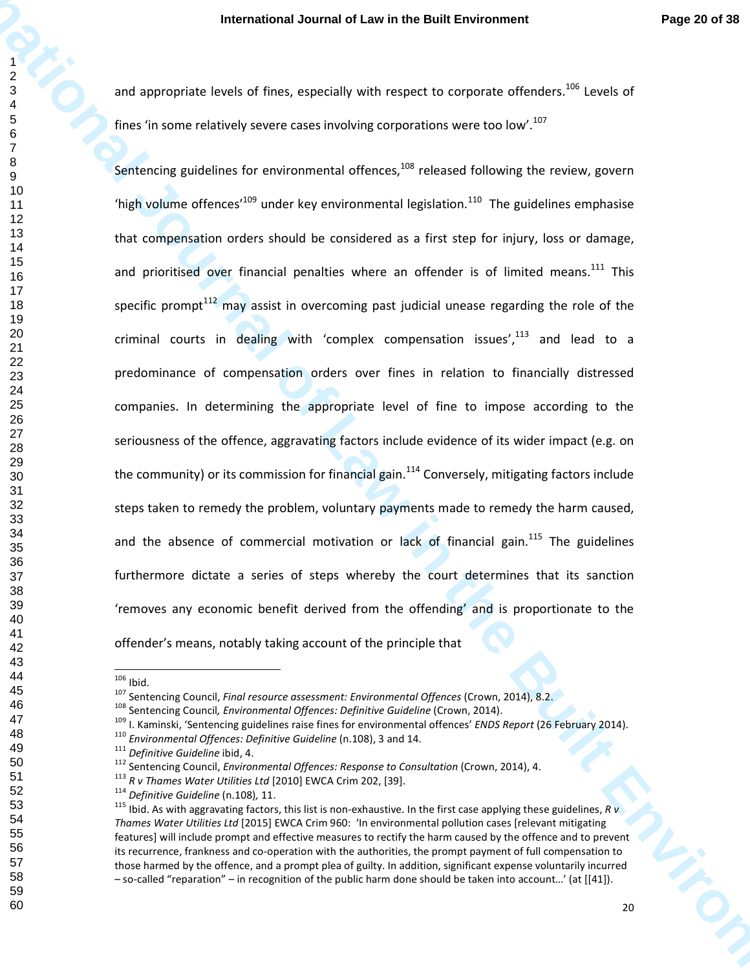and appropriate levels of fines, especially with respect to corporate offenders.<sup>106</sup> Levels of fines 'in some relatively severe cases involving corporations were too low'.<sup>107</sup>

**International Journal of Law in the Built Environment Page 20 of 28<br>
and a system the first dimension of Law international or the Built Environment Control of Law in the Built of Law in the Built of Law in the Built of La** Sentencing guidelines for environmental offences, released following the review, govern 'high volume offences'<sup>109</sup> under key environmental legislation.<sup>110</sup> The guidelines emphasise that compensation orders should be considered as a first step for injury, loss or damage, and prioritised over financial penalties where an offender is of limited means.<sup>111</sup> This specific prompt<sup>112</sup> may assist in overcoming past judicial unease regarding the role of the criminal courts in dealing with 'complex compensation issues', and lead to a predominance of compensation orders over fines in relation to financially distressed companies. In determining the appropriate level of fine to impose according to the seriousness of the offence, aggravating factors include evidence of its wider impact (e.g. on the community) or its commission for financial gain.<sup>114</sup> Conversely, mitigating factors include steps taken to remedy the problem, voluntary payments made to remedy the harm caused, and the absence of commercial motivation or lack of financial gain.<sup>115</sup> The guidelines furthermore dictate a series of steps whereby the court determines that its sanction 'removes any economic benefit derived from the offending' and is proportionate to the offender's means, notably taking account of the principle that

*Environmental Offences: Definitive Guideline* (n.108), 3 and 14.

Ibid.

Sentencing Council, *Final resource assessment: Environmental Offences* (Crown, 2014), 8.2.

Sentencing Council*, Environmental Offences: Definitive Guideline* (Crown, 2014).

I. Kaminski, 'Sentencing guidelines raise fines for environmental offences' *ENDS Report* (26 February 2014).

*Definitive Guideline* ibid, 4.

Sentencing Council, *Environmental Offences: Response to Consultation* (Crown, 2014), 4.

*R v Thames Water Utilities Ltd* [2010] EWCA Crim 202, [39].

*Definitive Guideline* (n.108)*,* 11.

 Ibid. As with aggravating factors, this list is non-exhaustive. In the first case applying these guidelines, *R v Thames Water Utilities Ltd* [2015] EWCA Crim 960: 'In environmental pollution cases [relevant mitigating features] will include prompt and effective measures to rectify the harm caused by the offence and to prevent its recurrence, frankness and co-operation with the authorities, the prompt payment of full compensation to those harmed by the offence, and a prompt plea of guilty. In addition, significant expense voluntarily incurred – so-called "reparation" – in recognition of the public harm done should be taken into account…' (at [[41]).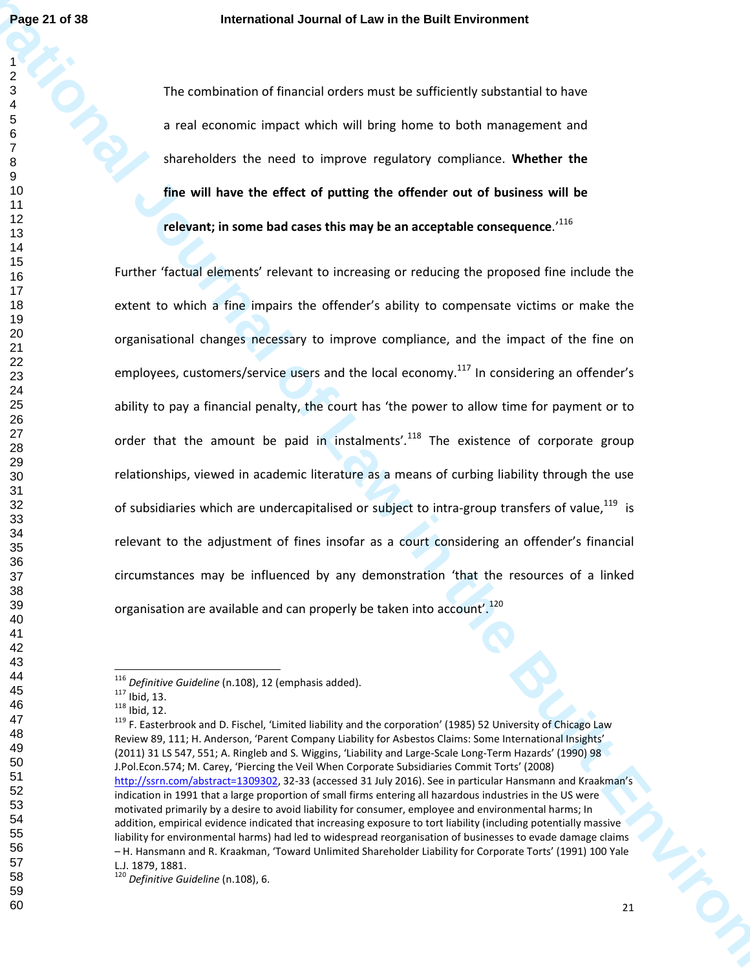The combination of financial orders must be sufficiently substantial to have a real economic impact which will bring home to both management and shareholders the need to improve regulatory compliance. **Whether the fine will have the effect of putting the offender out of business will be relevant; in some bad cases this may be an acceptable consequence**.'<sup>116</sup>

**Page 21 of 38**<br> **International of Law international of Law in the Built Environment<br>
<b>International of Law increase the Built Environment Built Environment<br>
International of the State State of Participa Ten and Built Envi** Further 'factual elements' relevant to increasing or reducing the proposed fine include the extent to which a fine impairs the offender's ability to compensate victims or make the organisational changes necessary to improve compliance, and the impact of the fine on employees, customers/service users and the local economy.<sup>117</sup> In considering an offender's ability to pay a financial penalty, the court has 'the power to allow time for payment or to order that the amount be paid in instalments'.<sup>118</sup> The existence of corporate group relationships, viewed in academic literature as a means of curbing liability through the use of subsidiaries which are undercapitalised or subject to intra-group transfers of value, is relevant to the adjustment of fines insofar as a court considering an offender's financial circumstances may be influenced by any demonstration 'that the resources of a linked organisation are available and can properly be taken into account'.<sup>120</sup>

 *Definitive Guideline* (n.108), 12 (emphasis added).

Ibid, 13.

Ibid, 12.

<sup>&</sup>lt;sup>119</sup> F. Easterbrook and D. Fischel, 'Limited liability and the corporation' (1985) 52 University of Chicago Law Review 89, 111; H. Anderson, 'Parent Company Liability for Asbestos Claims: Some International Insights' (2011) 31 LS 547, 551; A. Ringleb and S. Wiggins, 'Liability and Large-Scale Long-Term Hazards' (1990) 98 J.Pol.Econ.574; M. Carey, 'Piercing the Veil When Corporate Subsidiaries Commit Torts' (2008) http://ssrn.com/abstract=1309302, 32-33 (accessed 31 July 2016). See in particular Hansmann and Kraakman's indication in 1991 that a large proportion of small firms entering all hazardous industries in the US were motivated primarily by a desire to avoid liability for consumer, employee and environmental harms; In addition, empirical evidence indicated that increasing exposure to tort liability (including potentially massive liability for environmental harms) had led to widespread reorganisation of businesses to evade damage claims – H. Hansmann and R. Kraakman, 'Toward Unlimited Shareholder Liability for Corporate Torts' (1991) 100 Yale L.J. 1879, 1881.

*Definitive Guideline* (n.108), 6.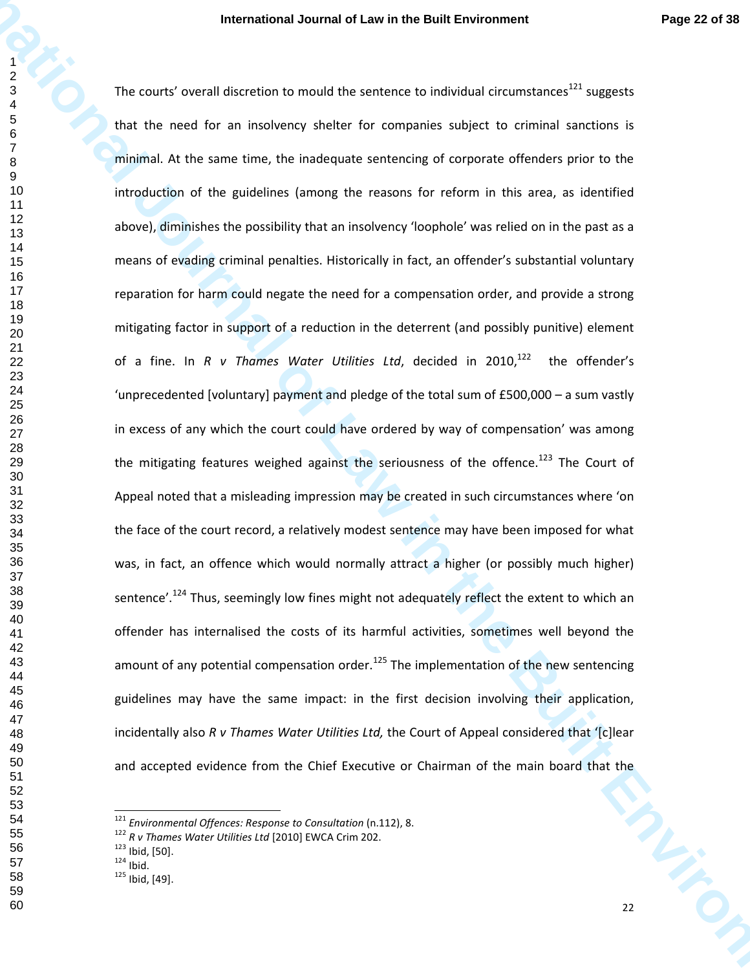**International Journal of Law in the Built Environment Page 22 of 38<br>
International University of the Street of Companies registered in the Built Environment<br>
The country overall discretize to model the servence solution t** in line The courts' overall discretion to mould the sentence to individual circumstances suggests that the need for an insolvency shelter for companies subject to criminal sanctions is minimal. At the same time, the inadequate sentencing of corporate offenders prior to the introduction of the guidelines (among the reasons for reform in this area, as identified above), diminishes the possibility that an insolvency 'loophole' was relied on in the past as a means of evading criminal penalties. Historically in fact, an offender's substantial voluntary reparation for harm could negate the need for a compensation order, and provide a strong mitigating factor in support of a reduction in the deterrent (and possibly punitive) element of a fine. In *R v Thames Water Utilities Ltd*, decided in 2010,<sup>122</sup> the offender's 'unprecedented [voluntary] payment and pledge of the total sum of £500,000 – a sum vastly in excess of any which the court could have ordered by way of compensation' was among the mitigating features weighed against the seriousness of the offence.<sup>123</sup> The Court of Appeal noted that a misleading impression may be created in such circumstances where 'on the face of the court record, a relatively modest sentence may have been imposed for what was, in fact, an offence which would normally attract a higher (or possibly much higher) sentence'.<sup>124</sup> Thus, seemingly low fines might not adequately reflect the extent to which an offender has internalised the costs of its harmful activities, sometimes well beyond the amount of any potential compensation order. $^{125}$  The implementation of the new sentencing guidelines may have the same impact: in the first decision involving their application, incidentally also *R v Thames Water Utilities Ltd,* the Court of Appeal considered that '[c]lear and accepted evidence from the Chief Executive or Chairman of the main board that the

*Environmental Offences: Response to Consultation* (n.112), 8.

*R v Thames Water Utilities Ltd* [2010] EWCA Crim 202.

Ibid, [50].

Ibid.

Ibid, [49].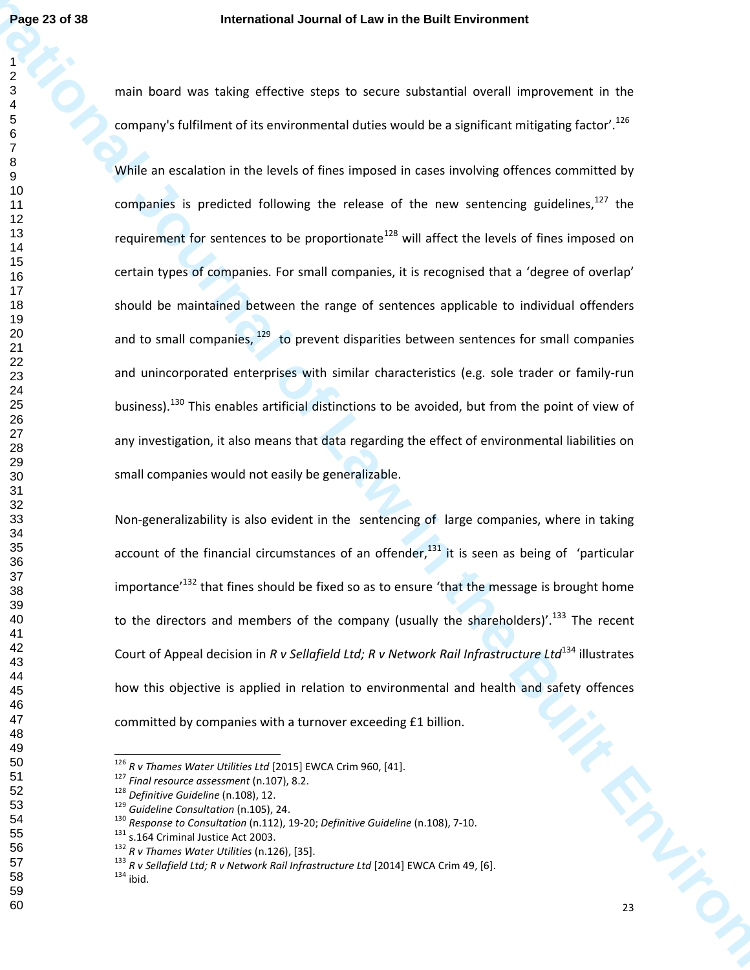main board was taking effective steps to secure substantial overall improvement in the company's fulfilment of its environmental duties would be a significant mitigating factor'.<sup>126</sup>

**International Journal of Law in the Built Environment** While an escalation in the levels of fines imposed in cases involving offences committed by companies is predicted following the release of the new sentencing guidelines, the requirement for sentences to be proportionate<sup>128</sup> will affect the levels of fines imposed on certain types of companies. For small companies, it is recognised that a 'degree of overlap' should be maintained between the range of sentences applicable to individual offenders and to small companies, to prevent disparities between sentences for small companies and unincorporated enterprises with similar characteristics (e.g. sole trader or family-run business).<sup>130</sup> This enables artificial distinctions to be avoided, but from the point of view of any investigation, it also means that data regarding the effect of environmental liabilities on small companies would not easily be generalizable.

Non-generalizability is also evident in the sentencing of large companies, where in taking account of the financial circumstances of an offender, it is seen as being of 'particular importance<sup> $132$ </sup> that fines should be fixed so as to ensure 'that the message is brought home to the directors and members of the company (usually the shareholders)'.<sup>133</sup> The recent Court of Appeal decision in *R v Sellafield Ltd; R v Network Rail Infrastructure Ltd*<sup>134</sup> illustrates how this objective is applied in relation to environmental and health and safety offences committed by companies with a turnover exceeding £1 billion.

*R v Thames Water Utilities Ltd* [2015] EWCA Crim 960, [41].

*Final resource assessment* (n.107), 8.2.

*Definitive Guideline* (n.108), 12.

*Guideline Consultation* (n.105), 24.

 *Response to Consultation* (n.112), 19-20; *Definitive Guideline* (n.108), 7-10.

<sup>&</sup>lt;sup>131</sup> s.164 Criminal Justice Act 2003.

*R v Thames Water Utilities* (n.126), [35].

 *R v Sellafield Ltd; R v Network Rail Infrastructure Ltd* [2014] EWCA Crim 49, [6]. ibid.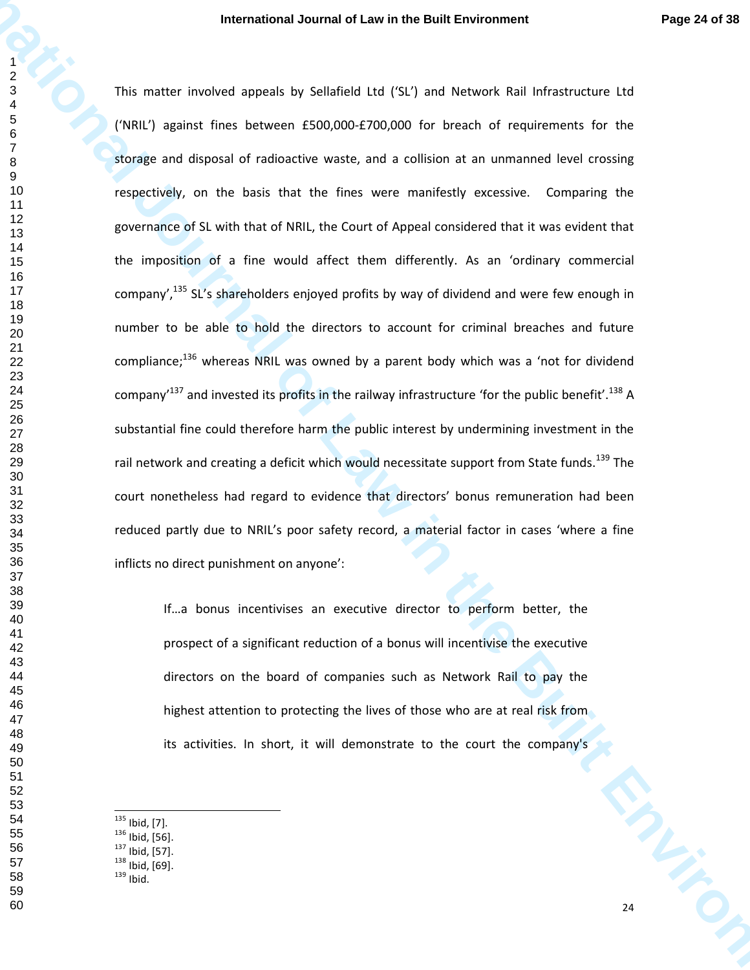**International Journal of Law in the Built Environment Page 24 of 38<br>
In matter involved assets by Seleible Luc (SC, and Network Pail Infrastructure LU<br>
CINER) agence for the Built Environment of Seleible Luc (SC, and Netw** This matter involved appeals by Sellafield Ltd ('SL') and Network Rail Infrastructure Ltd ('NRIL') against fines between £500,000-£700,000 for breach of requirements for the storage and disposal of radioactive waste, and a collision at an unmanned level crossing respectively, on the basis that the fines were manifestly excessive. Comparing the governance of SL with that of NRIL, the Court of Appeal considered that it was evident that the imposition of a fine would affect them differently. As an 'ordinary commercial company',<sup>135</sup> SL's shareholders enjoyed profits by way of dividend and were few enough in number to be able to hold the directors to account for criminal breaches and future compliance; $^{136}$  whereas NRIL was owned by a parent body which was a 'not for dividend company<sup>137</sup> and invested its profits in the railway infrastructure 'for the public benefit'.<sup>138</sup> A substantial fine could therefore harm the public interest by undermining investment in the rail network and creating a deficit which would necessitate support from State funds.<sup>139</sup> The court nonetheless had regard to evidence that directors' bonus remuneration had been reduced partly due to NRIL's poor safety record, a material factor in cases 'where a fine inflicts no direct punishment on anyone':

If…a bonus incentivises an executive director to perform better, the prospect of a significant reduction of a bonus will incentivise the executive directors on the board of companies such as Network Rail to pay the highest attention to protecting the lives of those who are at real risk from its activities. In short, it will demonstrate to the court the company's

- $^{135}$  Ibid, [7].
- Ibid, [56].
- Ibid, [57].
- Ibid, [69].
- Ibid.
-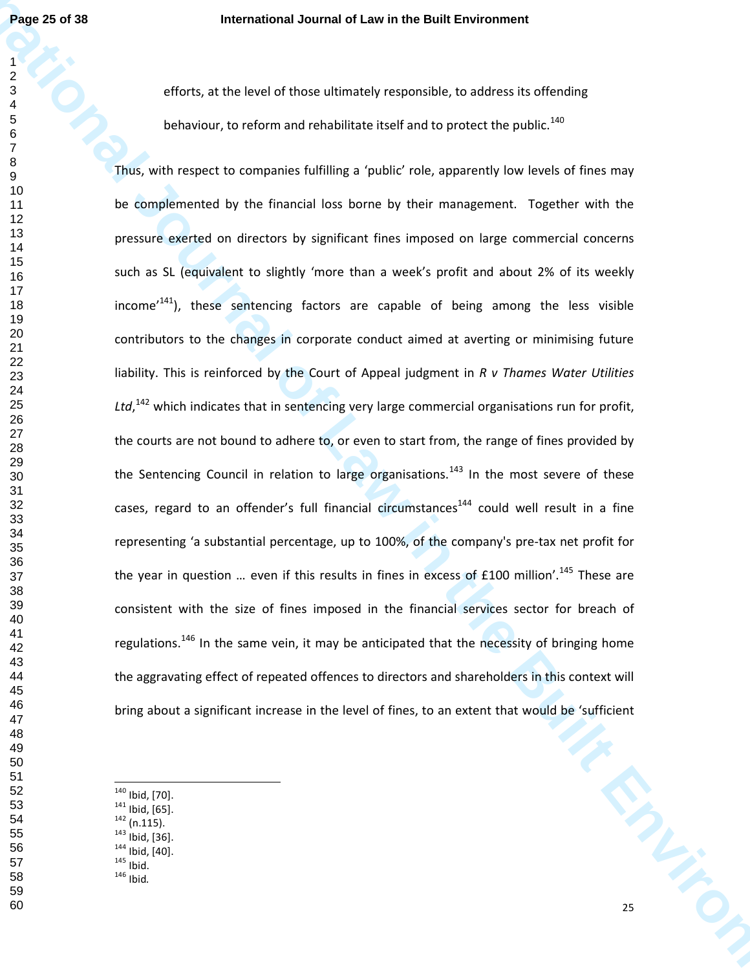efforts, at the level of those ultimately responsible, to address its offending behaviour, to reform and rehabilitate itself and to protect the public. $^{140}$ 

**Page 22 of 38**<br> **International Journal of Law in the Built Environment**<br> **International Journal of Constraint Constraint Constraint Constraint Constraint Constraint Constraint Constraint Constraint Constraint Constraint C** N Vicient Thus, with respect to companies fulfilling a 'public' role, apparently low levels of fines may be complemented by the financial loss borne by their management. Together with the pressure exerted on directors by significant fines imposed on large commercial concerns such as SL (equivalent to slightly 'more than a week's profit and about 2% of its weekly income<sup>141</sup>), these sentencing factors are capable of being among the less visible contributors to the changes in corporate conduct aimed at averting or minimising future liability. This is reinforced by the Court of Appeal judgment in *R v Thames Water Utilities*  Ltd,<sup>142</sup> which indicates that in sentencing very large commercial organisations run for profit, the courts are not bound to adhere to, or even to start from, the range of fines provided by the Sentencing Council in relation to large organisations.<sup>143</sup> In the most severe of these cases, regard to an offender's full financial circumstances<sup>144</sup> could well result in a fine representing 'a substantial percentage, up to 100%, of the company's pre-tax net profit for the year in question ... even if this results in fines in excess of  $£100$  million'.<sup>145</sup> These are consistent with the size of fines imposed in the financial services sector for breach of regulations.<sup>146</sup> In the same vein, it may be anticipated that the necessity of bringing home the aggravating effect of repeated offences to directors and shareholders in this context will bring about a significant increase in the level of fines, to an extent that would be 'sufficient

- Ibid, [70].
- Ibid, [65].
- (n.115).
- Ibid, [36].
- Ibid, [40].
- Ibid. Ibid*.*
-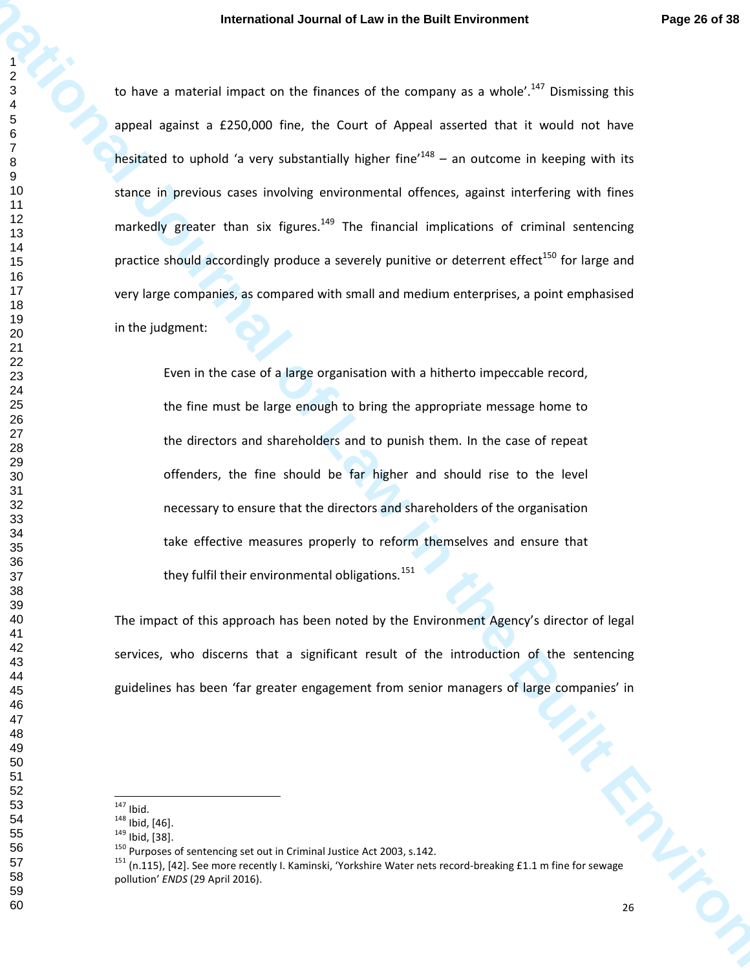**International Journal of Law in the European est. The Specifical Control of Law international of Law international Control of Law increases and the Control of Law increases and the Control of Law international of the Cont** to have a material impact on the finances of the company as a whole'.<sup>147</sup> Dismissing this appeal against a £250,000 fine, the Court of Appeal asserted that it would not have hesitated to uphold 'a very substantially higher fine<sup> $148$ </sup> – an outcome in keeping with its stance in previous cases involving environmental offences, against interfering with fines markedly greater than six figures.<sup>149</sup> The financial implications of criminal sentencing practice should accordingly produce a severely punitive or deterrent effect<sup>150</sup> for large and very large companies, as compared with small and medium enterprises, a point emphasised in the judgment:

Even in the case of a large organisation with a hitherto impeccable record, the fine must be large enough to bring the appropriate message home to the directors and shareholders and to punish them. In the case of repeat offenders, the fine should be far higher and should rise to the level necessary to ensure that the directors and shareholders of the organisation take effective measures properly to reform themselves and ensure that they fulfil their environmental obligations.

The impact of this approach has been noted by the Environment Agency's director of legal services, who discerns that a significant result of the introduction of the sentencing guidelines has been 'far greater engagement from senior managers of large companies' in

Ibid.

Ibid, [46].

Ibid, [38].

<sup>&</sup>lt;sup>150</sup> Purposes of sentencing set out in Criminal Justice Act 2003, s.142.

 (n.115), [42]. See more recently I. Kaminski, 'Yorkshire Water nets record-breaking £1.1 m fine for sewage pollution' *ENDS* (29 April 2016).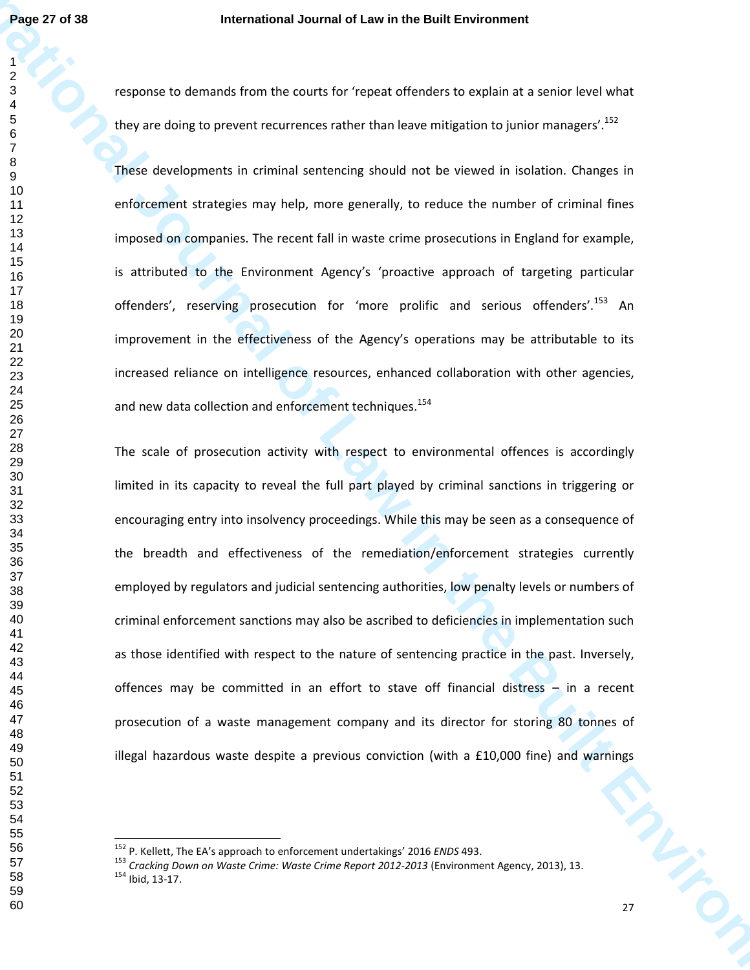response to demands from the courts for 'repeat offenders to explain at a senior level what they are doing to prevent recurrences rather than leave mitigation to junior managers'.<sup>152</sup>

These developments in criminal sentencing should not be viewed in isolation. Changes in enforcement strategies may help, more generally, to reduce the number of criminal fines imposed on companies. The recent fall in waste crime prosecutions in England for example, is attributed to the Environment Agency's 'proactive approach of targeting particular offenders', reserving prosecution for 'more prolific and serious offenders'.<sup>153</sup> An improvement in the effectiveness of the Agency's operations may be attributable to its increased reliance on intelligence resources, enhanced collaboration with other agencies, and new data collection and enforcement techniques.<sup>154</sup>

**Page 27 of 38**<br> **International Journal of Law in the Built Environment<br>
<b>I**<br> **International of the Built Environment**<br> **I**<br> **I** the procedure of the Built Environmental of the University Substitute of Law including the Bu AMERICA The scale of prosecution activity with respect to environmental offences is accordingly limited in its capacity to reveal the full part played by criminal sanctions in triggering or encouraging entry into insolvency proceedings. While this may be seen as a consequence of the breadth and effectiveness of the remediation/enforcement strategies currently employed by regulators and judicial sentencing authorities, low penalty levels or numbers of criminal enforcement sanctions may also be ascribed to deficiencies in implementation such as those identified with respect to the nature of sentencing practice in the past. Inversely, offences may be committed in an effort to stave off financial distress – in a recent prosecution of a waste management company and its director for storing 80 tonnes of illegal hazardous waste despite a previous conviction (with a £10,000 fine) and warnings

P. Kellett, The EA's approach to enforcement undertakings' 2016 *ENDS* 493.

 *Cracking Down on Waste Crime: Waste Crime Report 2012-2013* (Environment Agency, 2013), 13. Ibid, 13-17.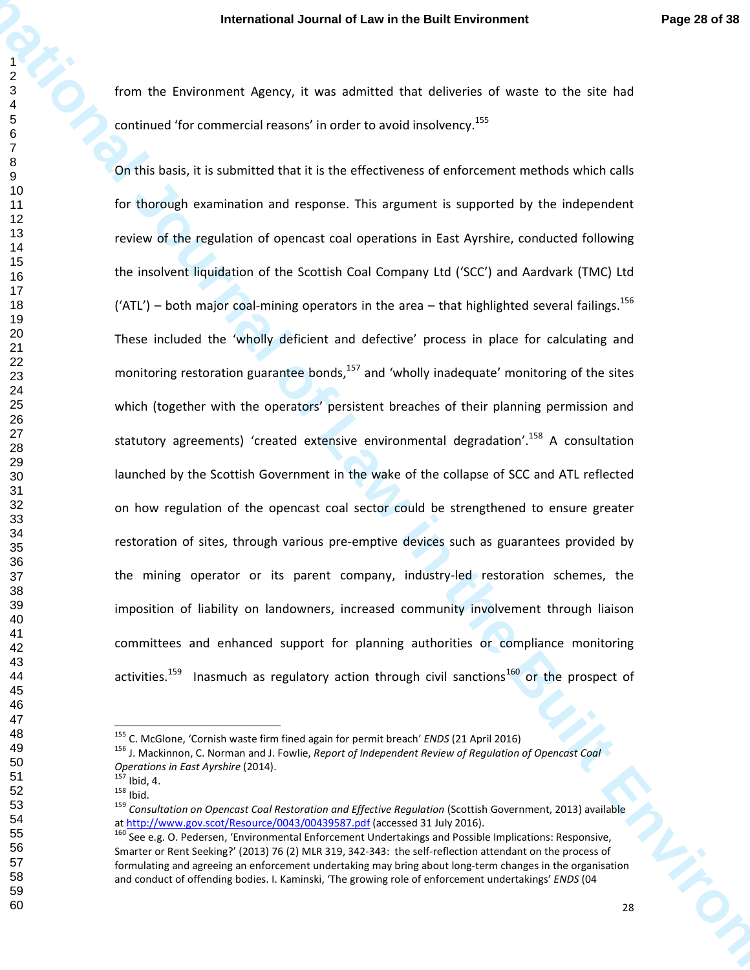from the Environment Agency, it was admitted that deliveries of waste to the site had continued 'for commercial reasons' in order to avoid insolvency.<sup>155</sup>

**International Journal of Law in the Built Environment Page 23 of 33**<br>
I from the Conference Agency, it was admitted the defenries of easter with the Nell<br>
of Conference Terms mention reasons in enter to another solution o On this basis, it is submitted that it is the effectiveness of enforcement methods which calls for thorough examination and response. This argument is supported by the independent review of the regulation of opencast coal operations in East Ayrshire, conducted following the insolvent liquidation of the Scottish Coal Company Ltd ('SCC') and Aardvark (TMC) Ltd ('ATL') – both major coal-mining operators in the area – that highlighted several failings.<sup>156</sup> These included the 'wholly deficient and defective' process in place for calculating and monitoring restoration guarantee bonds, and 'wholly inadequate' monitoring of the sites which (together with the operators' persistent breaches of their planning permission and statutory agreements) 'created extensive environmental degradation'.<sup>158</sup> A consultation launched by the Scottish Government in the wake of the collapse of SCC and ATL reflected on how regulation of the opencast coal sector could be strengthened to ensure greater restoration of sites, through various pre-emptive devices such as guarantees provided by the mining operator or its parent company, industry-led restoration schemes, the imposition of liability on landowners, increased community involvement through liaison committees and enhanced support for planning authorities or compliance monitoring activities.<sup>159</sup> Inasmuch as regulatory action through civil sanctions<sup>160</sup> or the prospect of

C. McGlone, 'Cornish waste firm fined again for permit breach' *ENDS* (21 April 2016)

 J. Mackinnon, C. Norman and J. Fowlie, *Report of Independent Review of Regulation of Opencast Coal Operations in East Ayrshire* (2014).

Ibid, 4.

Ibid.

 *Consultation on Opencast Coal Restoration and Effective Regulation* (Scottish Government, 2013) available at http://www.gov.scot/Resource/0043/00439587.pdf (accessed 31 July 2016).

<sup>&</sup>lt;sup>160</sup> See e.g. O. Pedersen, 'Environmental Enforcement Undertakings and Possible Implications: Responsive, Smarter or Rent Seeking?' (2013) 76 (2) MLR 319, 342-343: the self-reflection attendant on the process of formulating and agreeing an enforcement undertaking may bring about long-term changes in the organisation and conduct of offending bodies. I. Kaminski, 'The growing role of enforcement undertakings' *ENDS* (04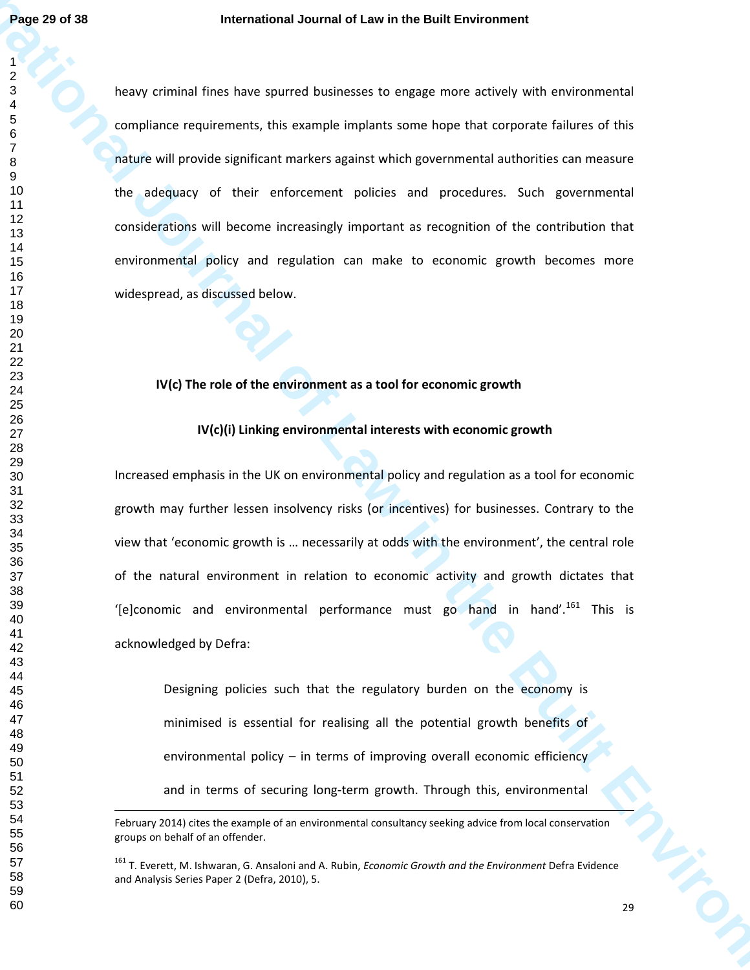**Page 23 of 18**<br>
International Environment Law in the Built Environment with environment and<br>  $\frac{3}{2}$ <br>
International Environment, this pamps conducts some local that payment of the<br>
complete requirements, this pamps cond heavy criminal fines have spurred businesses to engage more actively with environmental compliance requirements, this example implants some hope that corporate failures of this nature will provide significant markers against which governmental authorities can measure the adequacy of their enforcement policies and procedures. Such governmental considerations will become increasingly important as recognition of the contribution that environmental policy and regulation can make to economic growth becomes more widespread, as discussed below.

#### **IV(c) The role of the environment as a tool for economic growth**

## **IV(c)(i) Linking environmental interests with economic growth**

Increased emphasis in the UK on environmental policy and regulation as a tool for economic growth may further lessen insolvency risks (or incentives) for businesses. Contrary to the view that 'economic growth is … necessarily at odds with the environment', the central role of the natural environment in relation to economic activity and growth dictates that '[e]conomic and environmental performance must go hand in hand'.<sup>161</sup> This is acknowledged by Defra:

Designing policies such that the regulatory burden on the economy is minimised is essential for realising all the potential growth benefits of environmental policy – in terms of improving overall economic efficiency and in terms of securing long-term growth. Through this, environmental

l

February 2014) cites the example of an environmental consultancy seeking advice from local conservation groups on behalf of an offender.

 T. Everett, M. Ishwaran, G. Ansaloni and A. Rubin, *Economic Growth and the Environment* Defra Evidence and Analysis Series Paper 2 (Defra, 2010), 5.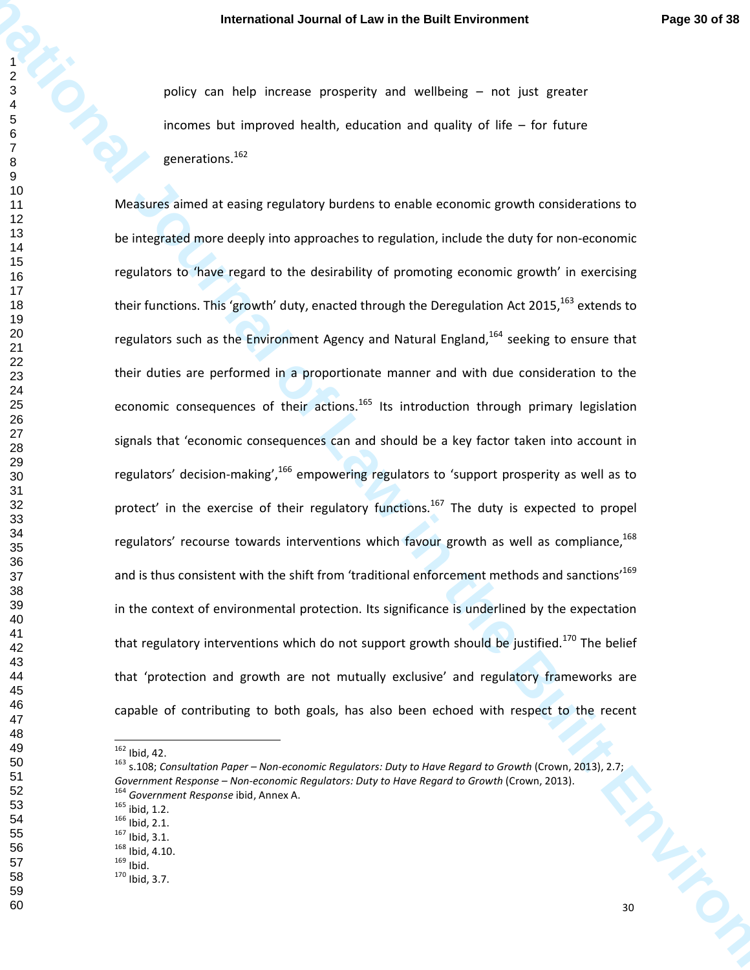policy can help increase prosperity and wellbeing – not just greater incomes but improved health, education and quality of life – for future generations.<sup>162</sup>

**International Journal of Law in the Built Environment Prope Broad State<br>
International of Law international of Law international of Law in the Built Environment<br>
International of the state of Law international of Law inte** Measures aimed at easing regulatory burdens to enable economic growth considerations to be integrated more deeply into approaches to regulation, include the duty for non-economic regulators to 'have regard to the desirability of promoting economic growth' in exercising their functions. This 'growth' duty, enacted through the Deregulation Act 2015,  $^{163}$  extends to regulators such as the Environment Agency and Natural England, seeking to ensure that their duties are performed in a proportionate manner and with due consideration to the economic consequences of their actions.<sup>165</sup> Its introduction through primary legislation signals that 'economic consequences can and should be a key factor taken into account in regulators' decision-making', <sup>166</sup> empowering regulators to 'support prosperity as well as to protect' in the exercise of their regulatory functions.<sup>167</sup> The duty is expected to propel regulators' recourse towards interventions which favour growth as well as compliance,and is thus consistent with the shift from 'traditional enforcement methods and sanctions<sup>169</sup> in the context of environmental protection. Its significance is underlined by the expectation that regulatory interventions which do not support growth should be justified.<sup>170</sup> The belief that 'protection and growth are not mutually exclusive' and regulatory frameworks are capable of contributing to both goals, has also been echoed with respect to the recent

 $\overline{\phantom{a}}$ 

 

Ibid, 42.

 s.108; *Consultation Paper – Non-economic Regulators: Duty to Have Regard to Growth* (Crown, 2013), 2.7; Government Response – Non-economic Regulators: Duty to Have Regard to Growth (Crown, 2013). *Government Response* ibid, Annex A.

ibid, 1.2.

Ibid, 2.1.

Ibid, 3.1.

Ibid, 4.10.

 

 Ibid. Ibid, 3.7.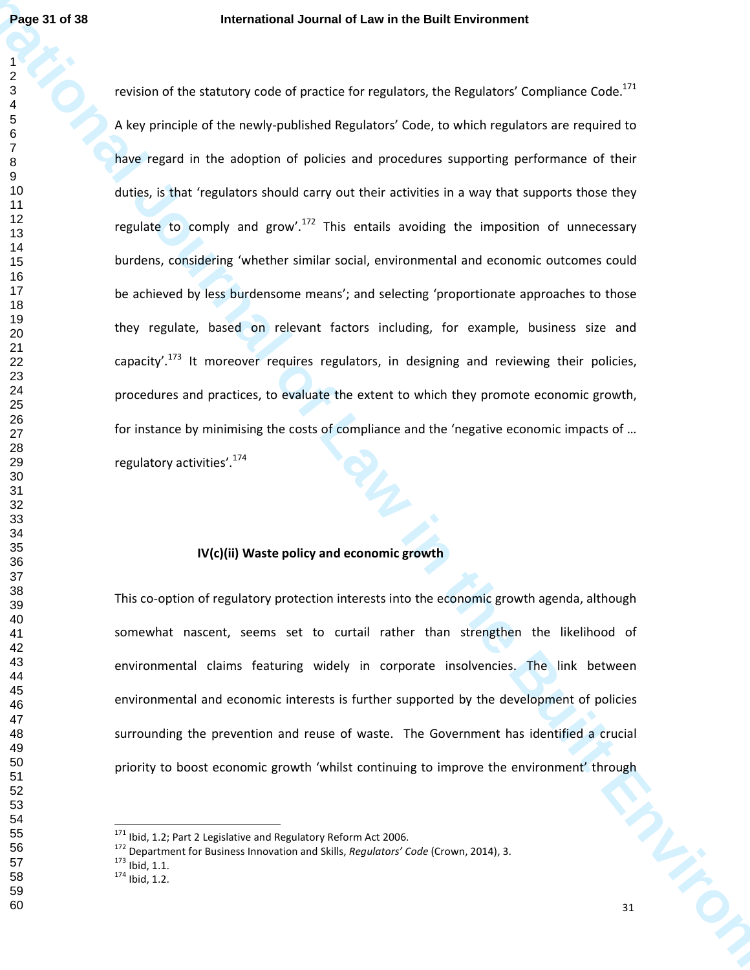**Page 31 of 38**<br> **International doursed clause for regulators, the Regulators Complete Complete Complete Complete Complete Complete Complete Complete Complete Complete Complete Complete Complete Complete Complete Complete** revision of the statutory code of practice for regulators, the Regulators' Compliance Code.<sup>171</sup> A key principle of the newly-published Regulators' Code, to which regulators are required to have regard in the adoption of policies and procedures supporting performance of their duties, is that 'regulators should carry out their activities in a way that supports those they regulate to comply and grow'.<sup>172</sup> This entails avoiding the imposition of unnecessary burdens, considering 'whether similar social, environmental and economic outcomes could be achieved by less burdensome means'; and selecting 'proportionate approaches to those they regulate, based on relevant factors including, for example, business size and capacity'.<sup>173</sup> It moreover requires regulators, in designing and reviewing their policies, procedures and practices, to evaluate the extent to which they promote economic growth, for instance by minimising the costs of compliance and the 'negative economic impacts of … regulatory activities'.<sup>174</sup>

# **IV(c)(ii) Waste policy and economic growth**

This co-option of regulatory protection interests into the economic growth agenda, although somewhat nascent, seems set to curtail rather than strengthen the likelihood of environmental claims featuring widely in corporate insolvencies. The link between environmental and economic interests is further supported by the development of policies surrounding the prevention and reuse of waste. The Government has identified a crucial priority to boost economic growth 'whilst continuing to improve the environment' through

Ibid, 1.1.

Ibid, 1.2.

Ibid, 1.2; Part 2 Legislative and Regulatory Reform Act 2006.

Department for Business Innovation and Skills, *Regulators' Code* (Crown, 2014), 3.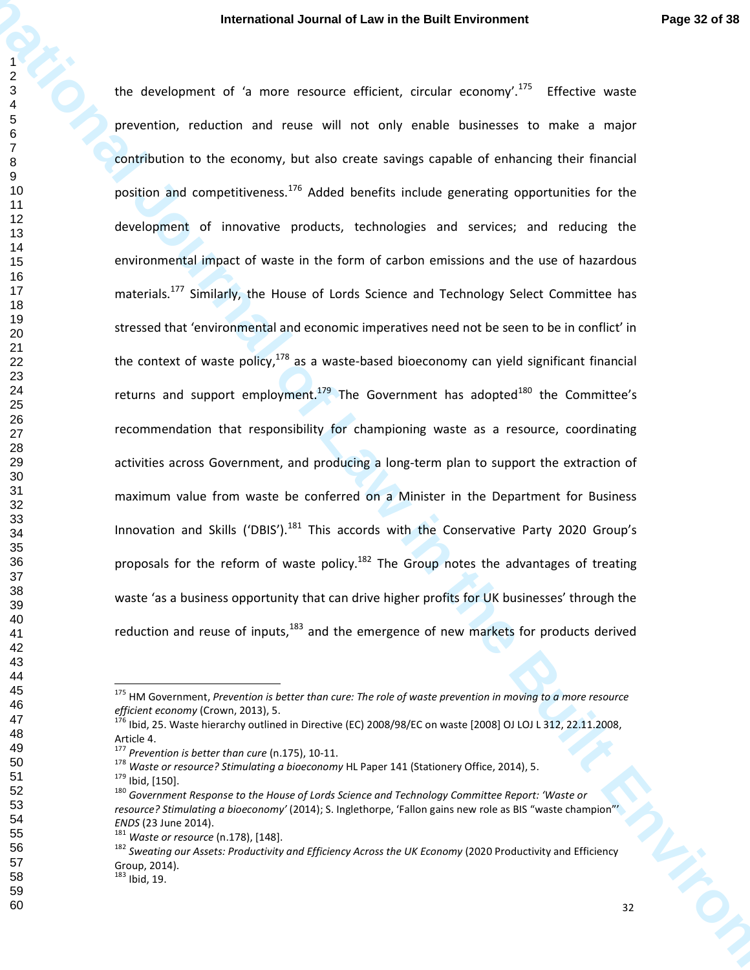**International Journal of Law in the Built Environment Page 12 of 28<br>
I de Vereluonnent of La mare resource efficient, tircular economy<sup>193</sup> Elective was<br>
procession, reduction and ranke will not only cause has more a maj** the development of 'a more resource efficient, circular economy'.<sup>175</sup> Effective waste prevention, reduction and reuse will not only enable businesses to make a major contribution to the economy, but also create savings capable of enhancing their financial position and competitiveness.<sup>176</sup> Added benefits include generating opportunities for the development of innovative products, technologies and services; and reducing the environmental impact of waste in the form of carbon emissions and the use of hazardous materials.<sup>177</sup> Similarly, the House of Lords Science and Technology Select Committee has stressed that 'environmental and economic imperatives need not be seen to be in conflict' in the context of waste policy, as a waste-based bioeconomy can yield significant financial returns and support employment.<sup>179</sup> The Government has adopted<sup>180</sup> the Committee's recommendation that responsibility for championing waste as a resource, coordinating activities across Government, and producing a long-term plan to support the extraction of maximum value from waste be conferred on a Minister in the Department for Business Innovation and Skills ('DBIS').<sup>181</sup> This accords with the Conservative Party 2020 Group's proposals for the reform of waste policy.<sup>182</sup> The Group notes the advantages of treating waste 'as a business opportunity that can drive higher profits for UK businesses' through the reduction and reuse of inputs, and the emergence of new markets for products derived

 HM Government, *Prevention is better than cure: The role of waste prevention in moving to a more resource efficient economy* (Crown, 2013), 5.

 $1^{16}$  Ibid, 25. Waste hierarchy outlined in Directive (EC) 2008/98/EC on waste [2008] OJ LOJ L 312, 22.11.2008, Article 4.

*Prevention is better than cure* (n.175), 10-11.

 *Waste or resource? Stimulating a bioeconomy* HL Paper 141 (Stationery Office, 2014), 5. Ibid, [150].

 *Government Response to the House of Lords Science and Technology Committee Report: 'Waste or resource? Stimulating a bioeconomy'* (2014); S. Inglethorpe, 'Fallon gains new role as BIS "waste champion"' *ENDS* (23 June 2014).

 *Waste or resource* (n.178), [148].

<sup>&</sup>lt;sup>182</sup> Sweating our Assets: Productivity and Efficiency Across the UK Economy (2020 Productivity and Efficiency Group, 2014).

Ibid, 19.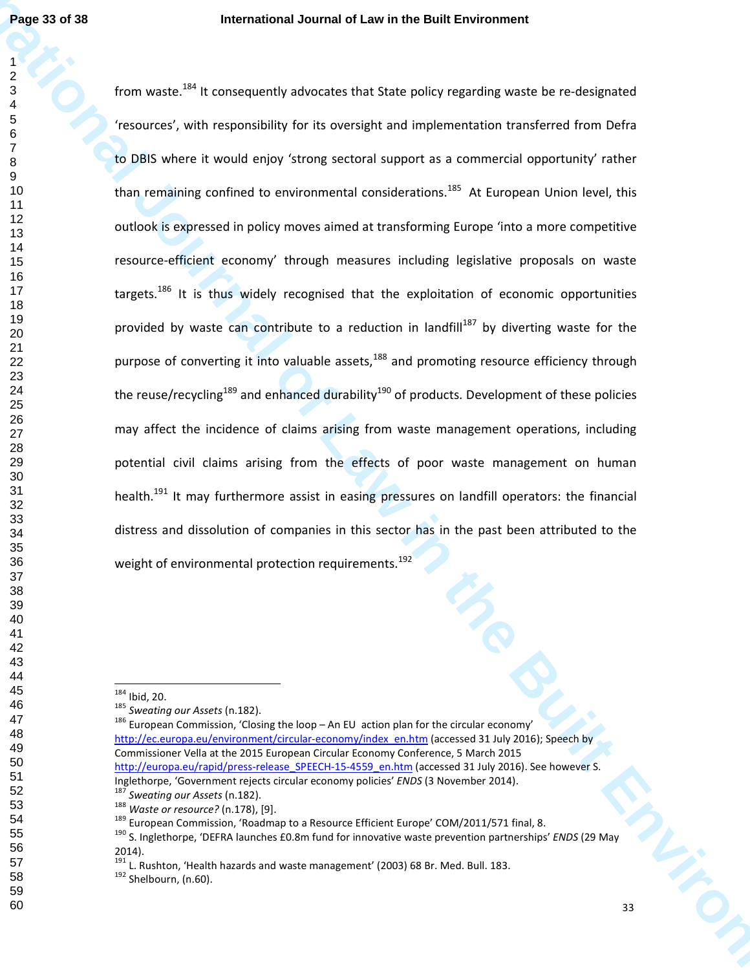**Page 33 of 38**<br>
International doursed Law in the Built Environment<br>
1 of the value of  $\frac{1}{2}$ <br>
If the value of  $\frac{1}{2}$ <br>
If the value of  $\frac{1}{2}$ <br>
If the value of  $\frac{1}{2}$ <br>
If the value of the stress in the stress o from waste.<sup>184</sup> It consequently advocates that State policy regarding waste be re-designated 'resources', with responsibility for its oversight and implementation transferred from Defra to DBIS where it would enjoy 'strong sectoral support as a commercial opportunity' rather than remaining confined to environmental considerations.<sup>185</sup> At European Union level, this outlook is expressed in policy moves aimed at transforming Europe 'into a more competitive resource-efficient economy' through measures including legislative proposals on waste targets.<sup>186</sup> It is thus widely recognised that the exploitation of economic opportunities provided by waste can contribute to a reduction in landfill<sup>187</sup> by diverting waste for the purpose of converting it into valuable assets, and promoting resource efficiency through the reuse/recycling<sup>189</sup> and enhanced durability<sup>190</sup> of products. Development of these policies may affect the incidence of claims arising from waste management operations, including potential civil claims arising from the effects of poor waste management on human health.<sup>191</sup> It may furthermore assist in easing pressures on landfill operators: the financial distress and dissolution of companies in this sector has in the past been attributed to the weight of environmental protection requirements.<sup>192</sup>

Ibid, 20.

European Commission, 'Closing the loop – An EU action plan for the circular economy'

*Sweating our Assets* (n.182).

http://ec.europa.eu/environment/circular-economy/index\_en.htm (accessed 31 July 2016); Speech by Commissioner Vella at the 2015 European Circular Economy Conference, 5 March 2015 http://europa.eu/rapid/press-release\_SPEECH-15-4559\_en.htm (accessed 31 July 2016). See however S.

Inglethorpe, 'Government rejects circular economy policies' *ENDS* (3 November 2014).

*Sweating our Assets* (n.182).

*Waste or resource?* (n.178), [9].

<sup>&</sup>lt;sup>189</sup> European Commission, 'Roadmap to a Resource Efficient Europe' COM/2011/571 final, 8.

 S. Inglethorpe, 'DEFRA launches £0.8m fund for innovative waste prevention partnerships' *ENDS* (29 May 2014).

L. Rushton, 'Health hazards and waste management' (2003) 68 Br. Med. Bull. 183.

<sup>&</sup>lt;sup>192</sup> Shelbourn, (n.60).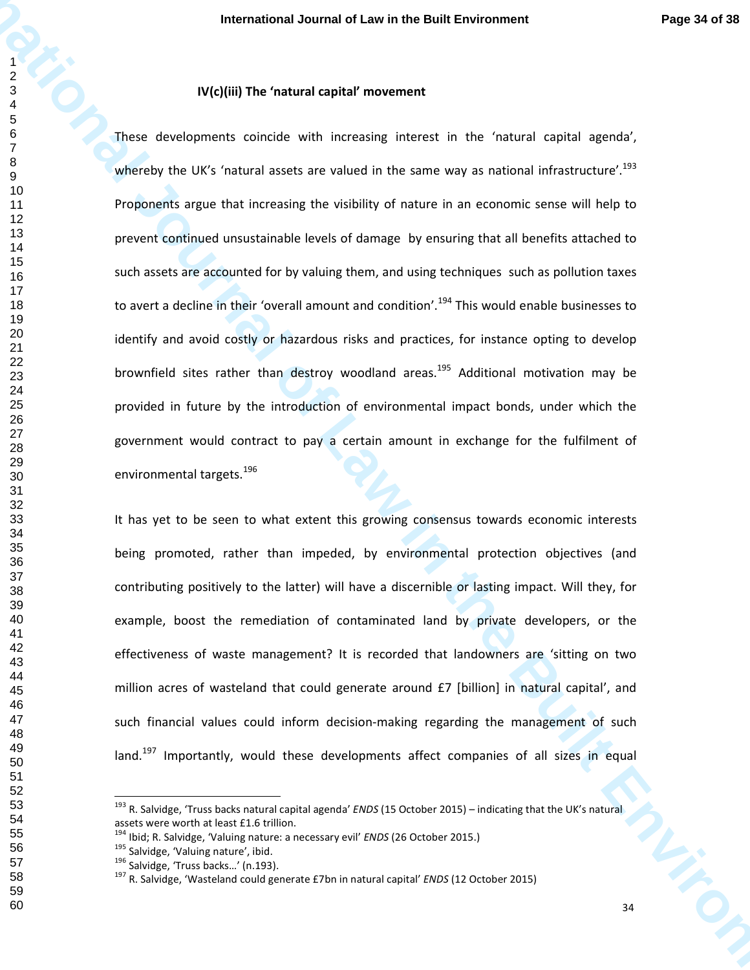# **IV(c)(iii) The 'natural capital' movement**

**International Journal of Law in the Built Environment Page 34 of 38<br>
2 of Actual developments consider and the Built Environment Page 34 of 38<br>
2 of Monthly the UV is framed such as the consider international informations** These developments coincide with increasing interest in the 'natural capital agenda', whereby the UK's 'natural assets are valued in the same way as national infrastructure'.<sup>193</sup> Proponents argue that increasing the visibility of nature in an economic sense will help to prevent continued unsustainable levels of damage by ensuring that all benefits attached to such assets are accounted for by valuing them, and using techniques such as pollution taxes to avert a decline in their 'overall amount and condition'.<sup>194</sup> This would enable businesses to identify and avoid costly or hazardous risks and practices, for instance opting to develop brownfield sites rather than destroy woodland areas.<sup>195</sup> Additional motivation may be provided in future by the introduction of environmental impact bonds, under which the government would contract to pay a certain amount in exchange for the fulfilment of environmental targets.<sup>196</sup>

It has yet to be seen to what extent this growing consensus towards economic interests being promoted, rather than impeded, by environmental protection objectives (and contributing positively to the latter) will have a discernible or lasting impact. Will they, for example, boost the remediation of contaminated land by private developers, or the effectiveness of waste management? It is recorded that landowners are 'sitting on two million acres of wasteland that could generate around £7 [billion] in natural capital', and such financial values could inform decision-making regarding the management of such land.<sup>197</sup> Importantly, would these developments affect companies of all sizes in equal

 R. Salvidge, 'Truss backs natural capital agenda' *ENDS* (15 October 2015) – indicating that the UK's natural assets were worth at least £1.6 trillion.

Ibid; R. Salvidge, 'Valuing nature: a necessary evil' *ENDS* (26 October 2015.)

<sup>&</sup>lt;sup>195</sup> Salvidge, 'Valuing nature', ibid.

<sup>&</sup>lt;sup>196</sup> Salvidge, 'Truss backs...' (n.193).

R. Salvidge, 'Wasteland could generate £7bn in natural capital' *ENDS* (12 October 2015)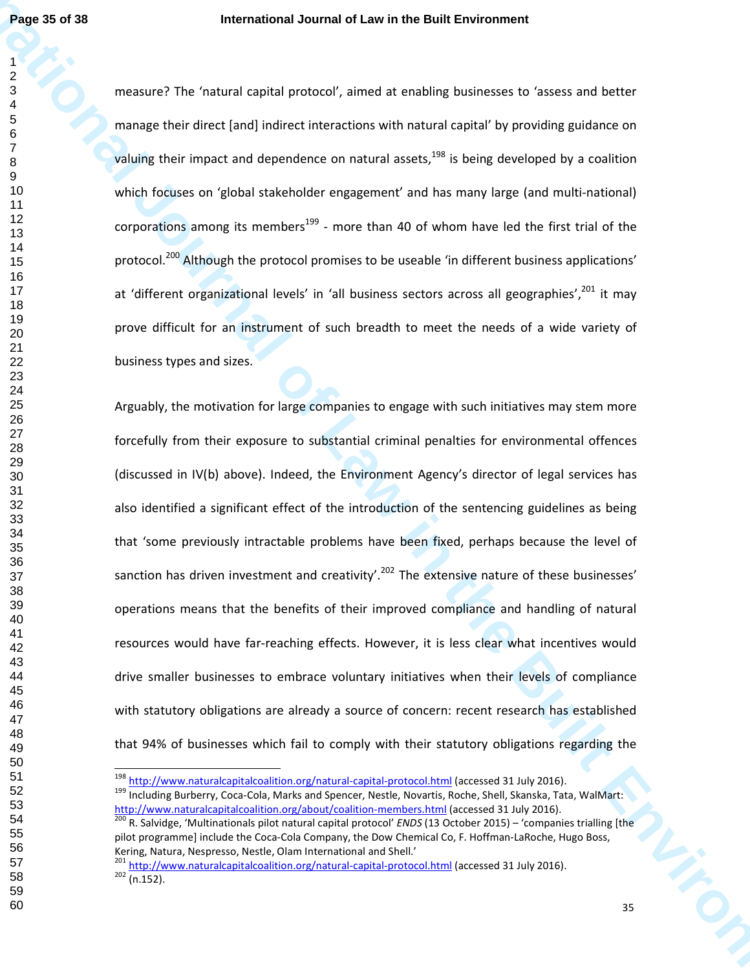measure? The 'natural capital protocol', aimed at enabling businesses to 'assess and better manage their direct [and] indirect interactions with natural capital' by providing guidance on valuing their impact and dependence on natural assets, is being developed by a coalition which focuses on 'global stakeholder engagement' and has many large (and multi-national) corporations among its members<sup>199</sup> - more than 40 of whom have led the first trial of the protocol.<sup>200</sup> Although the protocol promises to be useable 'in different business applications' at 'different organizational levels' in 'all business sectors across all geographies',<sup>201</sup> it may prove difficult for an instrument of such breadth to meet the needs of a wide variety of business types and sizes.

**Page 32 of 38**<br>
International Journal of Law in the Built Environment<br>
2.4<br> **International of The Venetical Starffulne Considered Associates with an international of the Built Environment<br>
2.5<br>
The mass of Law internation** Arguably, the motivation for large companies to engage with such initiatives may stem more forcefully from their exposure to substantial criminal penalties for environmental offences (discussed in IV(b) above). Indeed, the Environment Agency's director of legal services has also identified a significant effect of the introduction of the sentencing guidelines as being that 'some previously intractable problems have been fixed, perhaps because the level of sanction has driven investment and creativity'.<sup>202</sup> The extensive nature of these businesses' operations means that the benefits of their improved compliance and handling of natural resources would have far-reaching effects. However, it is less clear what incentives would drive smaller businesses to embrace voluntary initiatives when their levels of compliance with statutory obligations are already a source of concern: recent research has established that 94% of businesses which fail to comply with their statutory obligations regarding the

<sup>&</sup>lt;sup>198</sup> http://www.naturalcapitalcoalition.org/natural-capital-protocol.html (accessed 31 July 2016).

<sup>199</sup> Including Burberry, Coca-Cola, Marks and Spencer, Nestle, Novartis, Roche, Shell, Skanska, Tata, WalMart: http://www.naturalcapitalcoalition.org/about/coalition-members.html (accessed 31 July 2016).

 R. Salvidge, 'Multinationals pilot natural capital protocol' *ENDS* (13 October 2015) – 'companies trialling [the pilot programme] include the Coca-Cola Company, the Dow Chemical Co, F. Hoffman-LaRoche, Hugo Boss, Kering, Natura, Nespresso, Nestle, Olam International and Shell.'

<sup>&</sup>lt;sup>201</sup> http://www.naturalcapitalcoalition.org/natural-capital-protocol.html (accessed 31 July 2016).  $202 \overline{(n.152)}$ .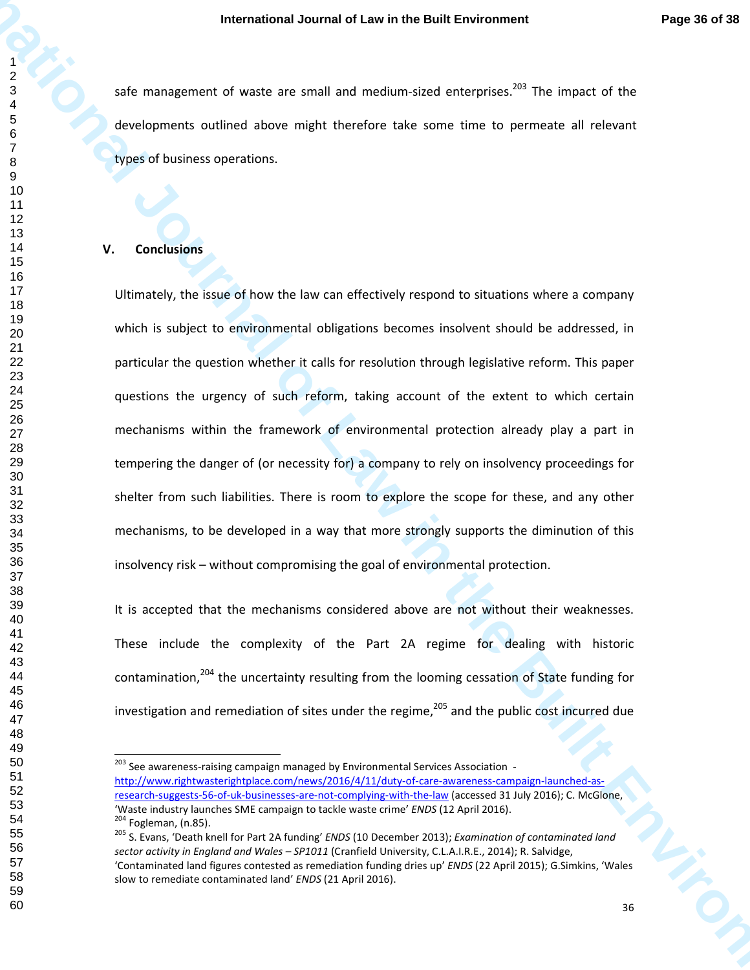safe management of waste are small and medium-sized enterprises.<sup>203</sup> The impact of the developments outlined above might therefore take some time to permeate all relevant types of business operations.

#### **V. Conclusions**

**International Journal of Law in the Built Environment Prope 3 of 38<br>
International of the Built Environment Consider the Built Environment Properties of the Built Consequent Consequent Consequent Consequent Consequent Con** Ultimately, the issue of how the law can effectively respond to situations where a company which is subject to environmental obligations becomes insolvent should be addressed, in particular the question whether it calls for resolution through legislative reform. This paper questions the urgency of such reform, taking account of the extent to which certain mechanisms within the framework of environmental protection already play a part in tempering the danger of (or necessity for) a company to rely on insolvency proceedings for shelter from such liabilities. There is room to explore the scope for these, and any other mechanisms, to be developed in a way that more strongly supports the diminution of this insolvency risk – without compromising the goal of environmental protection.

It is accepted that the mechanisms considered above are not without their weaknesses. These include the complexity of the Part 2A regime for dealing with historic contamination,<sup>204</sup> the uncertainty resulting from the looming cessation of State funding for investigation and remediation of sites under the regime, $^{205}$  and the public cost incurred due

<sup>&</sup>lt;sup>203</sup> See awareness-raising campaign managed by Environmental Services Association http://www.rightwasterightplace.com/news/2016/4/11/duty-of-care-awareness-campaign-launched-asresearch-suggests-56-of-uk-businesses-are-not-complying-with-the-law (accessed 31 July 2016); C. McGlone, 'Waste industry launches SME campaign to tackle waste crime' *ENDS* (12 April 2016). <sup>204</sup> Fogleman, (n.85).

 S. Evans, 'Death knell for Part 2A funding' *ENDS* (10 December 2013); *Examination of contaminated land sector activity in England and Wales – SP1011* (Cranfield University, C.L.A.I.R.E., 2014); R. Salvidge, 'Contaminated land figures contested as remediation funding dries up' *ENDS* (22 April 2015); G.Simkins, 'Wales slow to remediate contaminated land' *ENDS* (21 April 2016).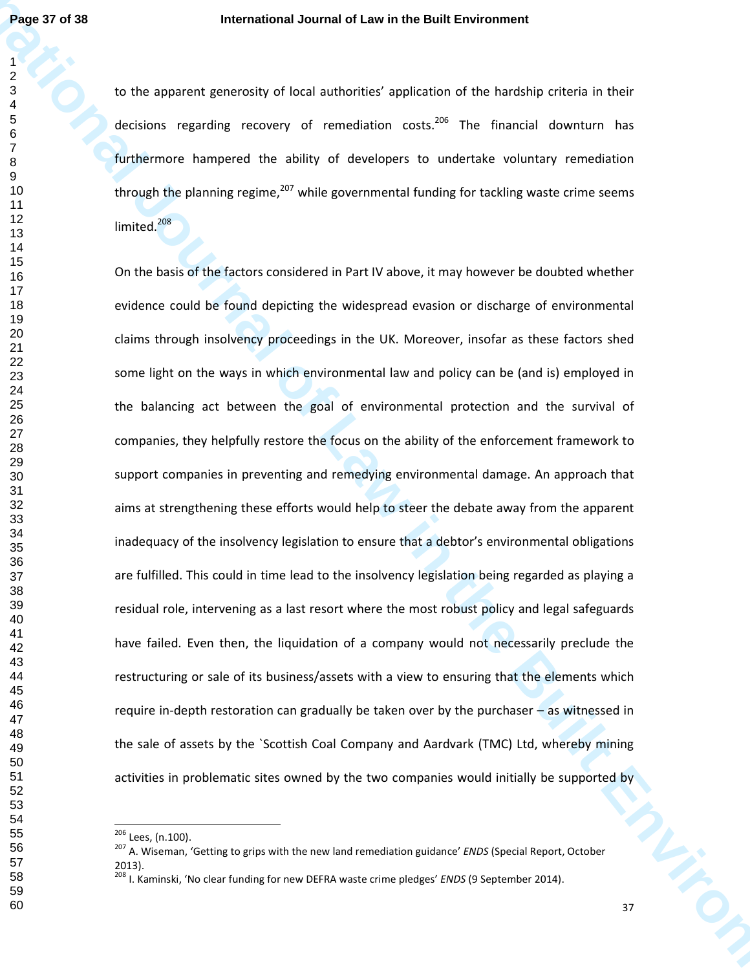to the apparent generosity of local authorities' application of the hardship criteria in their decisions regarding recovery of remediation costs.<sup>206</sup> The financial downturn has furthermore hampered the ability of developers to undertake voluntary remediation through the planning regime, while governmental funding for tackling waste crime seems limited.<sup>208</sup>

**Page 37 of 38**<br> **International Journal of Law in the Built Environment**<br> **I** to the apparent permusiva of local extension const.<sup>174</sup> the financial downtum tons<br> **Internative Engineeries** of considerable considerable cons On the basis of the factors considered in Part IV above, it may however be doubted whether evidence could be found depicting the widespread evasion or discharge of environmental claims through insolvency proceedings in the UK. Moreover, insofar as these factors shed some light on the ways in which environmental law and policy can be (and is) employed in the balancing act between the goal of environmental protection and the survival of companies, they helpfully restore the focus on the ability of the enforcement framework to support companies in preventing and remedying environmental damage. An approach that aims at strengthening these efforts would help to steer the debate away from the apparent inadequacy of the insolvency legislation to ensure that a debtor's environmental obligations are fulfilled. This could in time lead to the insolvency legislation being regarded as playing a residual role, intervening as a last resort where the most robust policy and legal safeguards have failed. Even then, the liquidation of a company would not necessarily preclude the restructuring or sale of its business/assets with a view to ensuring that the elements which require in-depth restoration can gradually be taken over by the purchaser – as witnessed in the sale of assets by the `Scottish Coal Company and Aardvark (TMC) Ltd, whereby mining activities in problematic sites owned by the two companies would initially be supported by

<sup>&</sup>lt;sup>206</sup> Lees, (n.100).

 A. Wiseman, 'Getting to grips with the new land remediation guidance' *ENDS* (Special Report, October 2013).

I. Kaminski, 'No clear funding for new DEFRA waste crime pledges' *ENDS* (9 September 2014).